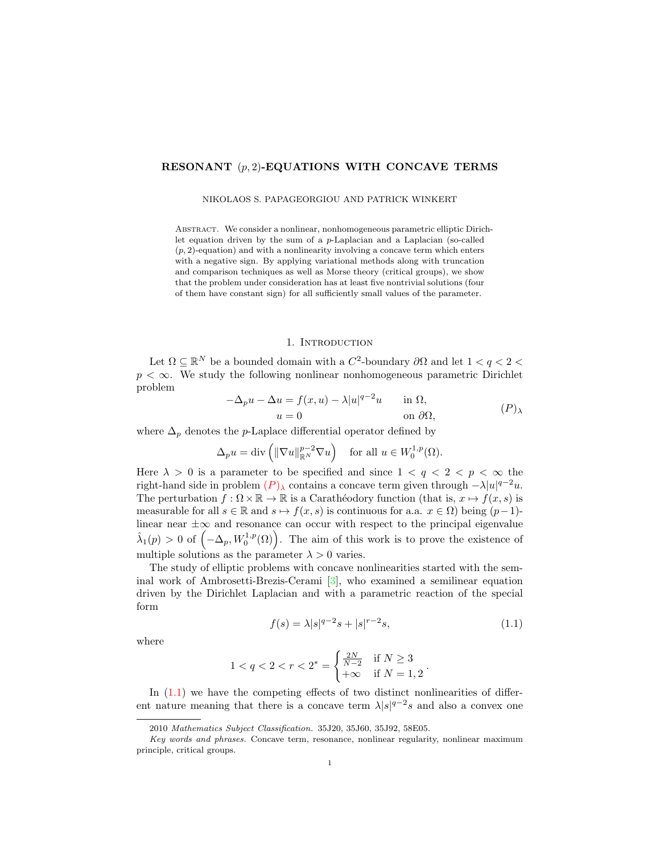# RESONANT  $(p, 2)$ -EQUATIONS WITH CONCAVE TERMS

#### NIKOLAOS S. PAPAGEORGIOU AND PATRICK WINKERT

Abstract. We consider a nonlinear, nonhomogeneous parametric elliptic Dirichlet equation driven by the sum of a p-Laplacian and a Laplacian (so-called  $(p, 2)$ -equation) and with a nonlinearity involving a concave term which enters with a negative sign. By applying variational methods along with truncation and comparison techniques as well as Morse theory (critical groups), we show that the problem under consideration has at least five nontrivial solutions (four of them have constant sign) for all sufficiently small values of the parameter.

### <span id="page-0-0"></span>1. INTRODUCTION

Let  $\Omega \subseteq \mathbb{R}^N$  be a bounded domain with a  $C^2$ -boundary  $\partial\Omega$  and let  $1 < q < 2 <$  $p < \infty$ . We study the following nonlinear nonhomogeneous parametric Dirichlet problem

<span id="page-0-1"></span>
$$
-\Delta_p u - \Delta u = f(x, u) - \lambda |u|^{q-2}u \quad \text{in } \Omega,
$$
  
\n
$$
u = 0 \quad \text{on } \partial\Omega,
$$
 (P)

where  $\Delta_p$  denotes the p-Laplace differential operator defined by

$$
\Delta_p u = \text{div}\left(\|\nabla u\|_{\mathbb{R}^N}^{p-2} \nabla u\right) \quad \text{for all } u \in W_0^{1,p}(\Omega).
$$

Here  $\lambda > 0$  is a parameter to be specified and since  $1 < q < 2 < p < \infty$  the right-hand side in problem  $(P)_{\lambda}$  $(P)_{\lambda}$  $(P)_{\lambda}$  contains a concave term given through  $-\lambda |u|^{q-2}u$ . The perturbation  $f : \Omega \times \mathbb{R} \to \mathbb{R}$  is a Carathéodory function (that is,  $x \mapsto f(x, s)$  is measurable for all  $s \in \mathbb{R}$  and  $s \mapsto f(x, s)$  is continuous for a.a.  $x \in \Omega$ ) being  $(p-1)$ linear near  $\pm\infty$  and resonance can occur with respect to the principal eigenvalue  $\hat{\lambda}_1(p) > 0$  of  $\left(-\Delta_p, W_0^{1,p}(\Omega)\right)$ . The aim of this work is to prove the existence of multiple solutions as the parameter  $\lambda > 0$  varies.

The study of elliptic problems with concave nonlinearities started with the seminal work of Ambrosetti-Brezis-Cerami [\[3\]](#page-16-0), who examined a semilinear equation driven by the Dirichlet Laplacian and with a parametric reaction of the special form

$$
f(s) = \lambda |s|^{q-2} s + |s|^{r-2} s, \tag{1.1}
$$

where

$$
1 < q < 2 < r < 2^* = \begin{cases} \frac{2N}{N-2} & \text{if } N \ge 3\\ +\infty & \text{if } N = 1, 2 \end{cases}.
$$

In  $(1.1)$  we have the competing effects of two distinct nonlinearities of different nature meaning that there is a concave term  $\lambda |s|^{q-2}s$  and also a convex one

<sup>2010</sup> Mathematics Subject Classification. 35J20, 35J60, 35J92, 58E05.

Key words and phrases. Concave term, resonance, nonlinear regularity, nonlinear maximum principle, critical groups.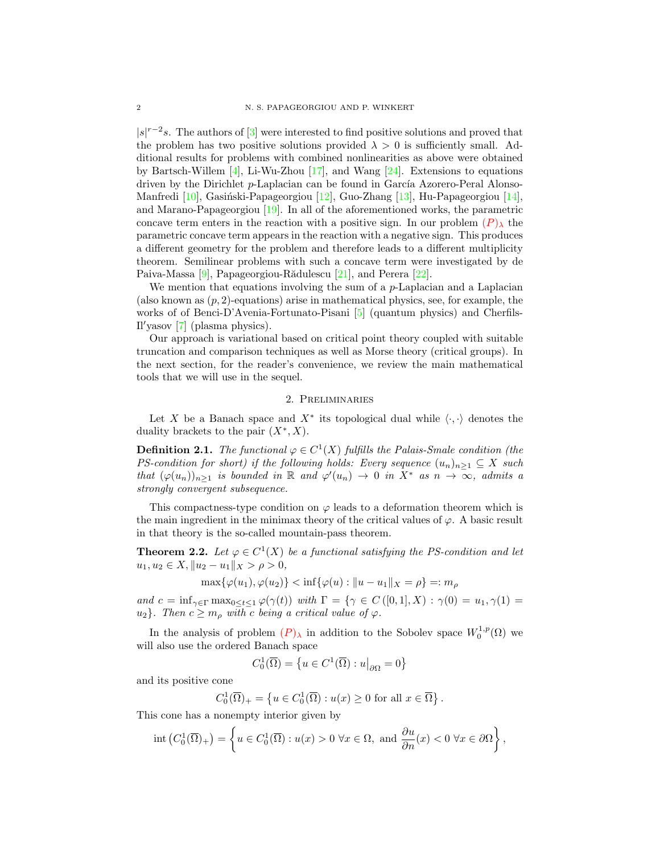$|s|^{r-2}s$ . The authors of  $|3|$  were interested to find positive solutions and proved that the problem has two positive solutions provided  $\lambda > 0$  is sufficiently small. Additional results for problems with combined nonlinearities as above were obtained by Bartsch-Willem  $[4]$ , Li-Wu-Zhou  $[17]$ , and Wang  $[24]$ . Extensions to equations driven by the Dirichlet p-Laplacian can be found in García Azorero-Peral Alonso-Manfredi [\[10\]](#page-16-4), Gasiński-Papageorgiou [\[12\]](#page-16-5), Guo-Zhang [\[13\]](#page-16-6), Hu-Papageorgiou [\[14\]](#page-16-7), and Marano-Papageorgiou [\[19\]](#page-16-8). In all of the aforementioned works, the parametric concave term enters in the reaction with a positive sign. In our problem  $(P)_{\lambda}$  $(P)_{\lambda}$  $(P)_{\lambda}$  the parametric concave term appears in the reaction with a negative sign. This produces a different geometry for the problem and therefore leads to a different multiplicity theorem. Semilinear problems with such a concave term were investigated by de Paiva-Massa [\[9\]](#page-16-9), Papageorgiou-Rădulescu [\[21\]](#page-16-10), and Perera [\[22\]](#page-16-11).

We mention that equations involving the sum of a  $p$ -Laplacian and a Laplacian (also known as  $(p, 2)$ -equations) arise in mathematical physics, see, for example, the works of of Benci-D'Avenia-Fortunato-Pisani [\[5\]](#page-16-12) (quantum physics) and Cherfils-Il'yasov  $[7]$  (plasma physics).

Our approach is variational based on critical point theory coupled with suitable truncation and comparison techniques as well as Morse theory (critical groups). In the next section, for the reader's convenience, we review the main mathematical tools that we will use in the sequel.

## 2. Preliminaries

Let X be a Banach space and  $X^*$  its topological dual while  $\langle \cdot, \cdot \rangle$  denotes the duality brackets to the pair  $(X^*, X)$ .

**Definition 2.1.** The functional  $\varphi \in C^1(X)$  fulfills the Palais-Smale condition (the PS-condition for short) if the following holds: Every sequence  $(u_n)_{n>1} \subseteq X$  such that  $(\varphi(u_n))_{n\geq 1}$  is bounded in R and  $\varphi'(u_n) \to 0$  in  $X^*$  as  $n \to \infty$ , admits a strongly convergent subsequence.

This compactness-type condition on  $\varphi$  leads to a deformation theorem which is the main ingredient in the minimax theory of the critical values of  $\varphi$ . A basic result in that theory is the so-called mountain-pass theorem.

<span id="page-1-0"></span>**Theorem 2.2.** Let  $\varphi \in C^1(X)$  be a functional satisfying the PS-condition and let  $u_1, u_2 \in X, \|u_2 - u_1\|_X > \rho > 0,$ 

$$
\max{\{\varphi(u_1), \varphi(u_2)\}} < \inf{\{\varphi(u) : \|u - u_1\|_X = \rho\}} =: m_\rho
$$

and  $c = \inf_{\gamma \in \Gamma} \max_{0 \le t \le 1} \varphi(\gamma(t))$  with  $\Gamma = \{ \gamma \in C([0,1], X) : \gamma(0) = u_1, \gamma(1) = u_2 \}$  $u_2$ . Then  $c \geq m_\rho$  with c being a critical value of  $\varphi$ .

In the analysis of problem  $(P)_{\lambda}$  $(P)_{\lambda}$  $(P)_{\lambda}$  in addition to the Sobolev space  $W_0^{1,p}(\Omega)$  we will also use the ordered Banach space

$$
C_0^1(\overline{\Omega}) = \left\{ u \in C^1(\overline{\Omega}) : u \middle|_{\partial \Omega} = 0 \right\}
$$

and its positive cone

$$
C_0^1(\overline{\Omega})_+ = \left\{ u \in C_0^1(\overline{\Omega}) : u(x) \ge 0 \text{ for all } x \in \overline{\Omega} \right\}.
$$

This cone has a nonempty interior given by

$$
\operatorname{int}\left(C_0^1(\overline{\Omega})_+\right) = \left\{ u \in C_0^1(\overline{\Omega}) : u(x) > 0 \,\,\forall x \in \Omega, \text{ and } \frac{\partial u}{\partial n}(x) < 0 \,\,\forall x \in \partial\Omega \right\},\
$$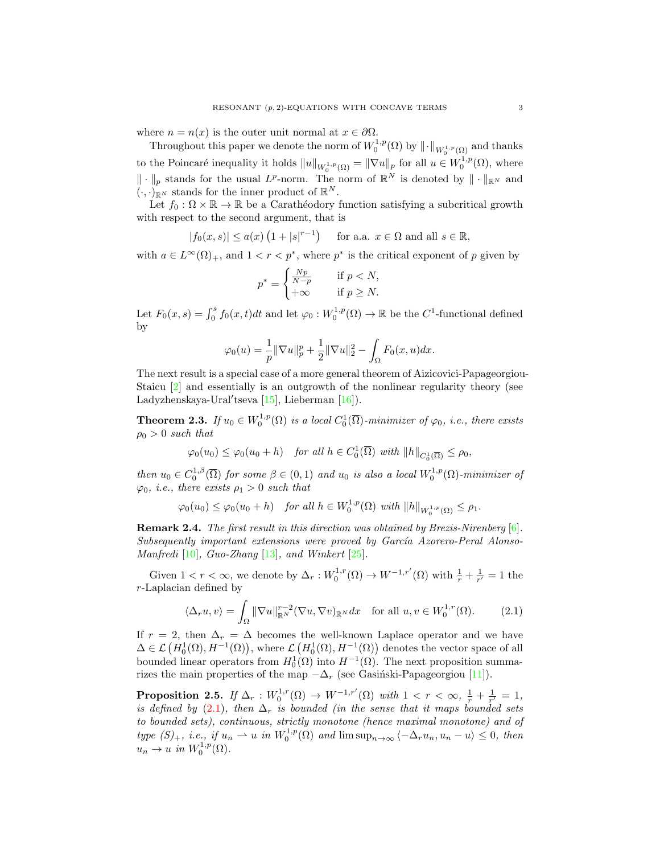where  $n = n(x)$  is the outer unit normal at  $x \in \partial \Omega$ .

Throughout this paper we denote the norm of  $W_0^{1,p}(\Omega)$  by  $\|\cdot\|_{W_0^{1,p}(\Omega)}$  and thanks to the Poincaré inequality it holds  $||u||_{W_0^{1,p}(\Omega)} = ||\nabla u||_p$  for all  $u \in W_0^{1,p}(\Omega)$ , where  $\|\cdot\|_p$  stands for the usual  $L^p$ -norm. The norm of  $\mathbb{R}^N$  is denoted by  $\|\cdot\|_{\mathbb{R}^N}$  and  $(\cdot, \cdot)_{\mathbb{R}^N}$  stands for the inner product of  $\mathbb{R}^N$ .

Let  $f_0 : \Omega \times \mathbb{R} \to \mathbb{R}$  be a Carathéodory function satisfying a subcritical growth with respect to the second argument, that is

$$
|f_0(x, s)| \le a(x) \left(1 + |s|^{r-1}\right)
$$
 for a.a.  $x \in \Omega$  and all  $s \in \mathbb{R}$ ,

with  $a \in L^{\infty}(\Omega)_{+}$ , and  $1 < r < p^*$ , where  $p^*$  is the critical exponent of p given by

$$
p^* = \begin{cases} \frac{Np}{N-p} & \text{if } p < N, \\ +\infty & \text{if } p \ge N. \end{cases}
$$

Let  $F_0(x, s) = \int_0^s f_0(x, t)dt$  and let  $\varphi_0: W_0^{1, p}(\Omega) \to \mathbb{R}$  be the  $C^1$ -functional defined by

$$
\varphi_0(u) = \frac{1}{p} \|\nabla u\|_p^p + \frac{1}{2} \|\nabla u\|_2^2 - \int_{\Omega} F_0(x, u) dx.
$$

The next result is a special case of a more general theorem of Aizicovici-Papageorgiou-Staicu [\[2\]](#page-16-14) and essentially is an outgrowth of the nonlinear regularity theory (see Ladyzhenskaya-Ural'tseva  $[15]$ , Lieberman  $[16]$ ).

<span id="page-2-2"></span>**Theorem 2.3.** If  $u_0 \in W_0^{1,p}(\Omega)$  is a local  $C_0^1(\overline{\Omega})$ -minimizer of  $\varphi_0$ , i.e., there exists  $\rho_0 > 0$  such that

$$
\varphi_0(u_0) \le \varphi_0(u_0 + h) \quad \text{for all } h \in C_0^1(\overline{\Omega}) \text{ with } ||h||_{C_0^1(\overline{\Omega})} \le \rho_0,
$$

then  $u_0 \in C_0^{1,\beta}(\overline{\Omega})$  for some  $\beta \in (0,1)$  and  $u_0$  is also a local  $W_0^{1,p}(\Omega)$ -minimizer of  $\varphi_0$ , *i.e.*, there exists  $\rho_1 > 0$  such that

 $\varphi_0(u_0) \leq \varphi_0(u_0 + h)$  for all  $h \in W_0^{1,p}(\Omega)$  with  $||h||_{W_0^{1,p}(\Omega)} \leq \rho_1$ .

Remark 2.4. The first result in this direction was obtained by Brezis-Nirenberg [\[6\]](#page-16-17).  $Subsequently$  important extensions were proved by Garc $ia$  Azorero-Peral Alonso-Manfredi [\[10\]](#page-16-4), Guo-Zhang [\[13\]](#page-16-6), and Winkert [\[25\]](#page-16-18).

Given  $1 < r < \infty$ , we denote by  $\Delta_r : W_0^{1,r}(\Omega) \to W^{-1,r'}(\Omega)$  with  $\frac{1}{r} + \frac{1}{r'} = 1$  the r-Laplacian defined by

<span id="page-2-0"></span>
$$
\langle \Delta_r u, v \rangle = \int_{\Omega} \|\nabla u\|_{\mathbb{R}^N}^{r-2} (\nabla u, \nabla v)_{\mathbb{R}^N} dx \quad \text{for all } u, v \in W_0^{1,r}(\Omega). \tag{2.1}
$$

If  $r = 2$ , then  $\Delta_r = \Delta$  becomes the well-known Laplace operator and we have  $\Delta \in \mathcal{L}\left(H_0^1(\Omega), H^{-1}(\Omega)\right)$ , where  $\mathcal{L}\left(H_0^1(\Omega), H^{-1}(\Omega)\right)$  denotes the vector space of all bounded linear operators from  $H_0^1(\Omega)$  into  $H^{-1}(\Omega)$ . The next proposition summarizes the main properties of the map  $-\Delta_r$  (see Gasinski-Papageorgiou [\[11\]](#page-16-19)).

<span id="page-2-1"></span>**Proposition 2.5.** If  $\Delta_r : W_0^{1,r}(\Omega) \to W^{-1,r'}(\Omega)$  with  $1 < r < \infty$ ,  $\frac{1}{r} + \frac{1}{r'} = 1$ , is defined by [\(2.1\)](#page-2-0), then  $\Delta_r$  is bounded (in the sense that it maps bounded sets to bounded sets), continuous, strictly monotone (hence maximal monotone) and of type  $(S)_+$ , i.e., if  $u_n \rightharpoonup u$  in  $W_0^{1,p}(\Omega)$  and  $\limsup_{n\to\infty} \langle -\Delta_ru_n, u_n-u\rangle \leq 0$ , then  $u_n \to u$  in  $W_0^{1,p}(\Omega)$ .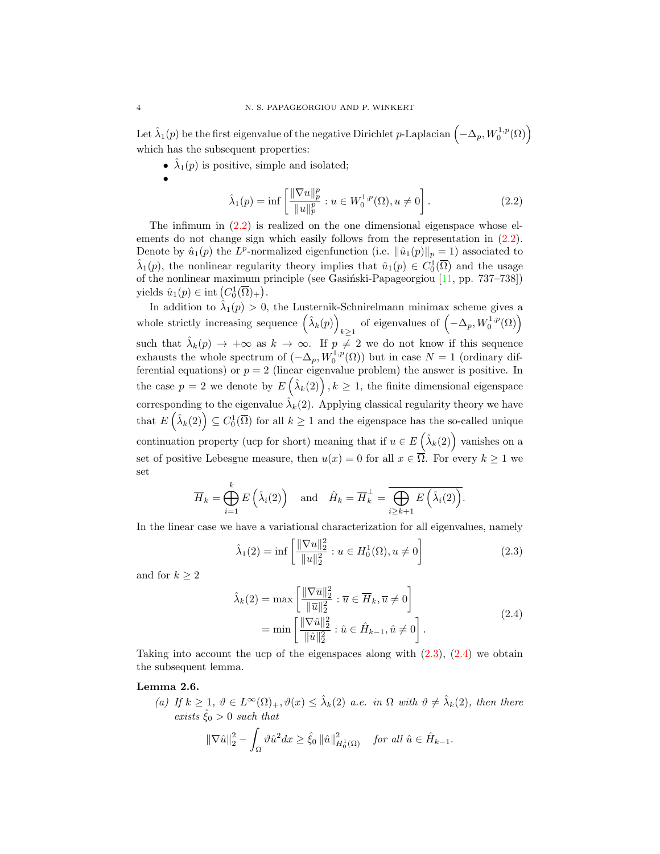Let  $\hat{\lambda}_1(p)$  be the first eigenvalue of the negative Dirichlet p-Laplacian  $\left(-\Delta_p, W_0^{1,p}(\Omega)\right)$ which has the subsequent properties:

•  $\hat{\lambda}_1(p)$  is positive, simple and isolated;

$$
f_{\rm{max}}
$$

•

<span id="page-3-0"></span>
$$
\hat{\lambda}_1(p) = \inf \left[ \frac{\|\nabla u\|_p^p}{\|u\|_p^p} : u \in W_0^{1,p}(\Omega), u \neq 0 \right].
$$
 (2.2)

The infimum in  $(2.2)$  is realized on the one dimensional eigenspace whose elements do not change sign which easily follows from the representation in [\(2.2\)](#page-3-0). Denote by  $\hat{u}_1(p)$  the L<sup>p</sup>-normalized eigenfunction (i.e.  $\|\hat{u}_1(p)\|_p = 1$ ) associated to  $\hat{\lambda}_1(p)$ , the nonlinear regularity theory implies that  $\hat{u}_1(p) \in C_0^1(\overline{\Omega})$  and the usage of the nonlinear maximum principle (see Gasiński-Papageorgiou  $[11, pp. 737-738]$ ) yields  $\hat{u}_1(p) \in \text{int}\left(C_0^1(\overline{\Omega})_+\right).$ 

In addition to  $\hat{\lambda}_1(p) > 0$ , the Lusternik-Schnirelmann minimax scheme gives a whole strictly increasing sequence  $(\hat{\lambda}_k(p))$  $\underset{k≥1}{\longrightarrow}$  of eigenvalues of  $(-\Delta_p, W_0^{1,p}(\Omega))$ such that  $\hat{\lambda}_k(p) \to +\infty$  as  $k \to \infty$ . If  $p \neq 2$  we do not know if this sequence exhausts the whole spectrum of  $(-\Delta_p, W_0^{1,p}(\Omega))$  but in case  $N = 1$  (ordinary differential equations) or  $p = 2$  (linear eigenvalue problem) the answer is positive. In the case  $p = 2$  we denote by  $E\left(\hat{\lambda}_k(2)\right), k \geq 1$ , the finite dimensional eigenspace corresponding to the eigenvalue  $\hat{\lambda}_k(2)$ . Applying classical regularity theory we have that  $E\left(\hat{\lambda}_k(2)\right) \subseteq C_0^1(\overline{\Omega})$  for all  $k \geq 1$  and the eigenspace has the so-called unique continuation property (ucp for short) meaning that if  $u \in E\left(\hat{\lambda}_k(2)\right)$  vanishes on a set of positive Lebesgue measure, then  $u(x) = 0$  for all  $x \in \overline{\Omega}$ . For every  $k \ge 1$  we set

$$
\overline{H}_k = \bigoplus_{i=1}^k E\left(\hat{\lambda}_i(2)\right) \quad \text{and} \quad \hat{H}_k = \overline{H}_k^{\perp} = \overline{\bigoplus_{i \ge k+1} E\left(\hat{\lambda}_i(2)\right)}.
$$

In the linear case we have a variational characterization for all eigenvalues, namely

<span id="page-3-1"></span>
$$
\hat{\lambda}_1(2) = \inf \left[ \frac{\|\nabla u\|_2^2}{\|u\|_2^2} : u \in H_0^1(\Omega), u \neq 0 \right] \tag{2.3}
$$

and for  $k\geq 2$ 

<span id="page-3-2"></span>
$$
\hat{\lambda}_{k}(2) = \max \left[ \frac{\|\nabla \overline{u}\|_{2}^{2}}{\|\overline{u}\|_{2}^{2}} : \overline{u} \in \overline{H}_{k}, \overline{u} \neq 0 \right] \n= \min \left[ \frac{\|\nabla \hat{u}\|_{2}^{2}}{\|\hat{u}\|_{2}^{2}} : \hat{u} \in \hat{H}_{k-1}, \hat{u} \neq 0 \right].
$$
\n(2.4)

Taking into account the ucp of the eigenspaces along with  $(2.3)$ ,  $(2.4)$  we obtain the subsequent lemma.

### <span id="page-3-3"></span>Lemma 2.6.

(a) If  $k \geq 1$ ,  $\vartheta \in L^{\infty}(\Omega)_{+}$ ,  $\vartheta(x) \leq \hat{\lambda}_{k}(2)$  a.e. in  $\Omega$  with  $\vartheta \neq \hat{\lambda}_{k}(2)$ , then there exists  $\hat{\xi}_0 > 0$  such that

$$
\|\nabla \hat{u}\|_2^2 - \int_{\Omega} \vartheta \hat{u}^2 dx \ge \hat{\xi}_0 \left\|\hat{u}\right\|_{H_0^1(\Omega)}^2 \quad \text{for all } \hat{u} \in \hat{H}_{k-1}.
$$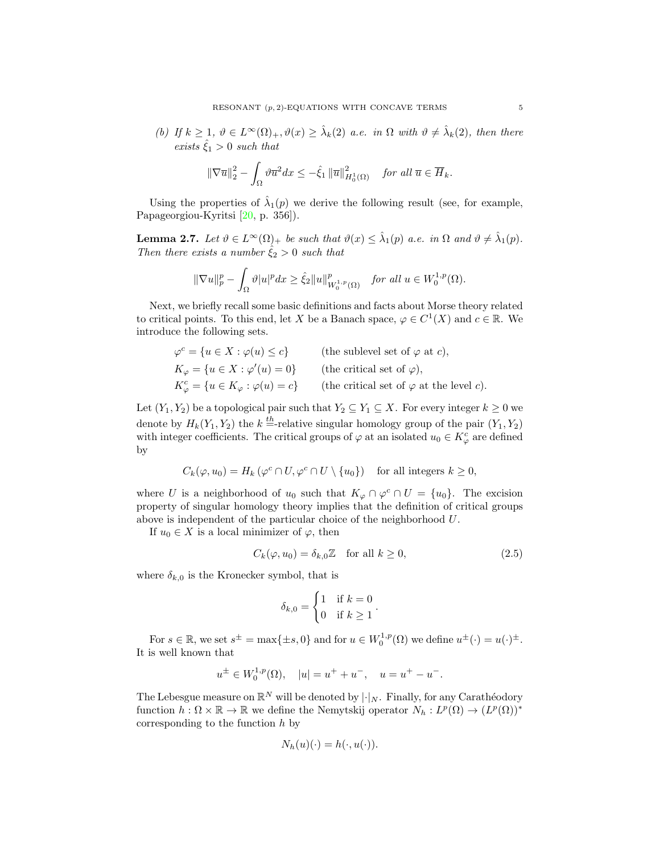(b) If  $k \geq 1$ ,  $\vartheta \in L^{\infty}(\Omega)_{+}$ ,  $\vartheta(x) \geq \lambda_k(2)$  a.e. in  $\Omega$  with  $\vartheta \neq \lambda_k(2)$ , then there exists  $\hat{\xi}_1 > 0$  such that

$$
\|\nabla \overline{u}\|_2^2 - \int_{\Omega} \vartheta \overline{u}^2 dx \leq -\hat{\xi}_1 \|\overline{u}\|_{H_0^1(\Omega)}^2 \quad \text{for all } \overline{u} \in \overline{H}_k.
$$

Using the properties of  $\hat{\lambda}_1(p)$  we derive the following result (see, for example, Papageorgiou-Kyritsi [\[20,](#page-16-20) p. 356]).

<span id="page-4-0"></span>**Lemma 2.7.** Let  $\vartheta \in L^{\infty}(\Omega)_{+}$  be such that  $\vartheta(x) \leq \hat{\lambda}_{1}(p)$  a.e. in  $\Omega$  and  $\vartheta \neq \hat{\lambda}_{1}(p)$ . Then there exists a number  $\hat{\xi}_2 > 0$  such that

$$
\|\nabla u\|_p^p - \int_{\Omega} \vartheta |u|^p dx \ge \hat{\xi}_2 \|u\|_{W_0^{1,p}(\Omega)}^p \quad \text{for all } u \in W_0^{1,p}(\Omega).
$$

Next, we briefly recall some basic definitions and facts about Morse theory related to critical points. To this end, let X be a Banach space,  $\varphi \in C^1(X)$  and  $c \in \mathbb{R}$ . We introduce the following sets.

| $\varphi^c = \{u \in X : \varphi(u) \leq c\}$            | (the sublevel set of $\varphi$ at c),           |
|----------------------------------------------------------|-------------------------------------------------|
| $K_{\varphi} = \{u \in X : \varphi'(u) = 0\}$            | (the critical set of $\varphi$ ),               |
| $K^c_{\varphi} = \{u \in K_{\varphi} : \varphi(u) = c\}$ | (the critical set of $\varphi$ at the level c). |

Let  $(Y_1, Y_2)$  be a topological pair such that  $Y_2 \subseteq Y_1 \subseteq X$ . For every integer  $k \geq 0$  we denote by  $H_k(Y_1, Y_2)$  the  $k = \text{relative singular homology group of the pair } (Y_1, Y_2)$ with integer coefficients. The critical groups of  $\varphi$  at an isolated  $u_0 \in K_{\varphi}^c$  are defined by

$$
C_k(\varphi, u_0) = H_k(\varphi^c \cap U, \varphi^c \cap U \setminus \{u_0\}) \quad \text{for all integers } k \ge 0,
$$

where U is a neighborhood of  $u_0$  such that  $K_{\varphi} \cap \varphi^c \cap U = \{u_0\}$ . The excision property of singular homology theory implies that the definition of critical groups above is independent of the particular choice of the neighborhood U.

If  $u_0 \in X$  is a local minimizer of  $\varphi$ , then

$$
C_k(\varphi, u_0) = \delta_{k,0} \mathbb{Z} \quad \text{for all } k \ge 0,
$$
\n
$$
(2.5)
$$

where  $\delta_{k,0}$  is the Kronecker symbol, that is

<span id="page-4-1"></span>
$$
\delta_{k,0} = \begin{cases} 1 & \text{if } k = 0 \\ 0 & \text{if } k \ge 1 \end{cases}.
$$

For  $s \in \mathbb{R}$ , we set  $s^{\pm} = \max\{\pm s, 0\}$  and for  $u \in W_0^{1,p}(\Omega)$  we define  $u^{\pm}(\cdot) = u(\cdot)^{\pm}$ . It is well known that

$$
u^{\pm} \in W_0^{1,p}(\Omega), \quad |u| = u^+ + u^-, \quad u = u^+ - u^-.
$$

The Lebesgue measure on  $\mathbb{R}^N$  will be denoted by  $\lvert \cdot \rvert_N$ . Finally, for any Carathéodory function  $h: \Omega \times \mathbb{R} \to \mathbb{R}$  we define the Nemytskij operator  $N_h: L^p(\Omega) \to (L^p(\Omega))^*$ corresponding to the function  $h$  by

$$
N_h(u)(\cdot) = h(\cdot, u(\cdot)).
$$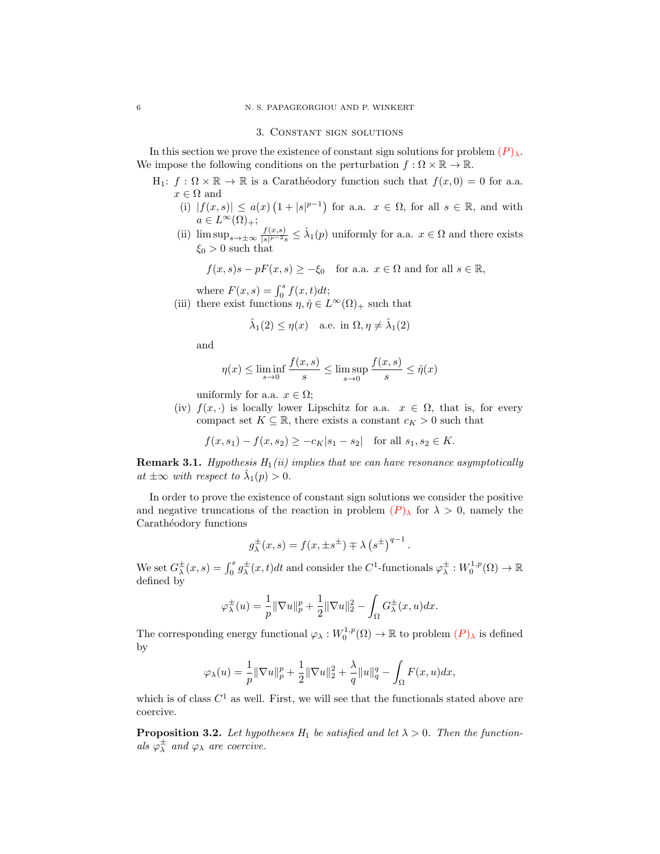#### 6 N. S. PAPAGEORGIOU AND P. WINKERT

#### 3. Constant sign solutions

In this section we prove the existence of constant sign solutions for problem  $(P)_{\lambda}$  $(P)_{\lambda}$  $(P)_{\lambda}$ . We impose the following conditions on the perturbation  $f : \Omega \times \mathbb{R} \to \mathbb{R}$ .

- $H_1: f: \Omega \times \mathbb{R} \to \mathbb{R}$  is a Caratheodory function such that  $f(x, 0) = 0$  for a.a.  $x \in \Omega$  and
	- (i)  $|f(x,s)| \leq a(x) (1+|s|^{p-1})$  for a.a.  $x \in \Omega$ , for all  $s \in \mathbb{R}$ , and with  $a \in L^{\infty}(\Omega)_{+};$
	- (ii)  $\limsup_{s\to\pm\infty}\frac{f(x,s)}{|s|^{p-2}s}$  $\frac{f(x,s)}{|s|^{p-2}s} \leq \hat{\lambda}_1(p)$  uniformly for a.a.  $x \in \Omega$  and there exists  $\xi_0 > 0$  such that

$$
f(x, s)s - pF(x, s) \ge -\xi_0
$$
 for a.a.  $x \in \Omega$  and for all  $s \in \mathbb{R}$ ,

where  $F(x, s) = \int_0^s f(x, t) dt$ ;

(iii) there exist functions  $\eta, \hat{\eta} \in L^{\infty}(\Omega)_{+}$  such that

$$
\hat{\lambda}_1(2) \le \eta(x)
$$
 a.e. in  $\Omega, \eta \ne \hat{\lambda}_1(2)$ 

and

$$
\eta(x) \le \liminf_{s \to 0} \frac{f(x,s)}{s} \le \limsup_{s \to 0} \frac{f(x,s)}{s} \le \hat{\eta}(x)
$$

uniformly for a.a.  $x \in \Omega$ ;

(iv)  $f(x, \cdot)$  is locally lower Lipschitz for a.a.  $x \in \Omega$ , that is, for every compact set  $K \subseteq \mathbb{R}$ , there exists a constant  $c_K > 0$  such that

 $f(x, s_1) - f(x, s_2) > -c_K|s_1 - s_2|$  for all  $s_1, s_2 \in K$ .

**Remark 3.1.** Hypothesis  $H_1(ii)$  implies that we can have resonance asymptotically at  $\pm \infty$  with respect to  $\hat{\lambda}_1(p) > 0$ .

In order to prove the existence of constant sign solutions we consider the positive and negative truncations of the reaction in problem  $(P)_{\lambda}$  $(P)_{\lambda}$  $(P)_{\lambda}$  for  $\lambda > 0$ , namely the Carathéodory functions

$$
g^{\pm}_{\lambda}(x,s) = f(x, \pm s^{\pm}) \mp \lambda (s^{\pm})^{q-1}.
$$

We set  $G^{\pm}_{\lambda}(x, s) = \int_0^s g^{\pm}_{\lambda}(x, t)dt$  and consider the  $C^1$ -functionals  $\varphi^{\pm}_{\lambda}: W_0^{1, p}(\Omega) \to \mathbb{R}$ defined by

$$
\varphi^{\pm}_{\lambda}(u) = \frac{1}{p} \|\nabla u\|_{p}^{p} + \frac{1}{2} \|\nabla u\|_{2}^{2} - \int_{\Omega} G^{\pm}_{\lambda}(x, u) dx.
$$

The corresponding energy functional  $\varphi_\lambda: W_0^{1,p}(\Omega) \to \mathbb{R}$  to problem  $(P)_\lambda$  $(P)_\lambda$  $(P)_\lambda$  is defined by

$$
\varphi_{\lambda}(u)=\frac{1}{p}\|\nabla u\|_p^p+\frac{1}{2}\|\nabla u\|_2^2+\frac{\lambda}{q}\|u\|_q^q-\int_{\Omega}F(x,u)dx,
$$

which is of class  $C^1$  as well. First, we will see that the functionals stated above are coercive.

<span id="page-5-0"></span>**Proposition 3.2.** Let hypotheses  $H_1$  be satisfied and let  $\lambda > 0$ . Then the functionals  $\varphi^{\pm}_{\lambda}$  and  $\varphi_{\lambda}$  are coercive.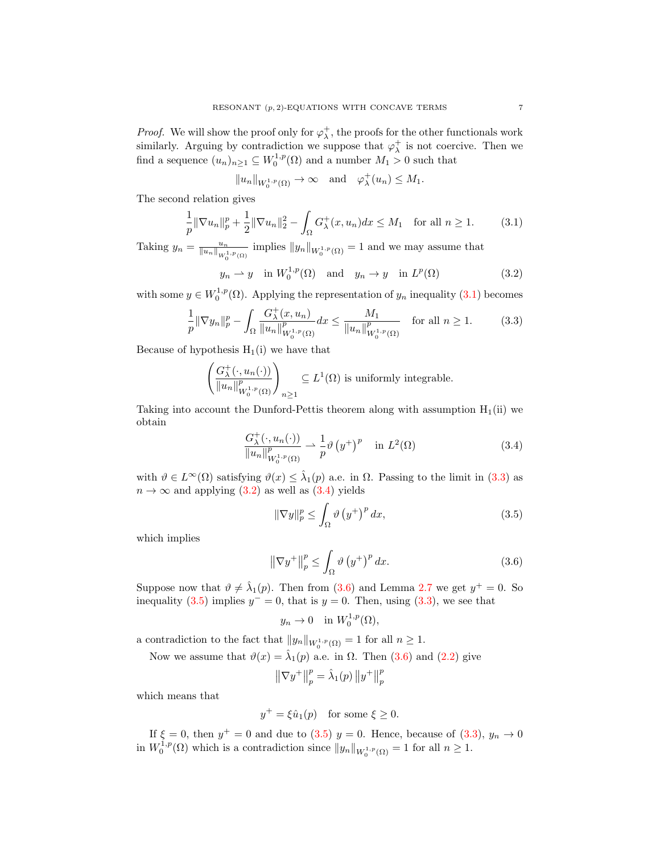*Proof.* We will show the proof only for  $\varphi_{\lambda}^{+}$ , the proofs for the other functionals work similarly. Arguing by contradiction we suppose that  $\varphi_{\lambda}^{+}$  is not coercive. Then we find a sequence  $(u_n)_{n\geq 1} \subseteq W_0^{1,p}(\Omega)$  and a number  $M_1 > 0$  such that

<span id="page-6-2"></span><span id="page-6-0"></span>
$$
||u_n||_{W_0^{1,p}(\Omega)} \to \infty
$$
 and  $\varphi_\lambda^+(u_n) \leq M_1$ .

The second relation gives

$$
\frac{1}{p} \|\nabla u_n\|_p^p + \frac{1}{2} \|\nabla u_n\|_2^2 - \int_{\Omega} G^+_{\lambda}(x, u_n) dx \le M_1 \quad \text{for all } n \ge 1.
$$
 (3.1)

Taking  $y_n = \frac{u_n}{\|u_n\|_{W_0^{1,p}(\Omega)}}$  implies  $\|y_n\|_{W_0^{1,p}(\Omega)} = 1$  and we may assume that

$$
y_n \rightharpoonup y
$$
 in  $W_0^{1,p}(\Omega)$  and  $y_n \rightharpoonup y$  in  $L^p(\Omega)$  (3.2)

with some  $y \in W_0^{1,p}(\Omega)$ . Applying the representation of  $y_n$  inequality [\(3.1\)](#page-6-0) becomes

$$
\frac{1}{p} \|\nabla y_n\|_p^p - \int_{\Omega} \frac{G^+_{\lambda}(x, u_n)}{\|u_n\|_{W_0^{1,p}(\Omega)}^p} dx \le \frac{M_1}{\|u_n\|_{W_0^{1,p}(\Omega)}^p} \quad \text{for all } n \ge 1.
$$
 (3.3)

Because of hypothesis  $H_1(i)$  we have that

$$
\left(\frac{G_{\lambda}^{+}(\cdot, u_{n}(\cdot))}{\|u_{n}\|_{W_{0}^{1,p}(\Omega)}^{p}}\right)_{n\geq 1} \subseteq L^{1}(\Omega) \text{ is uniformly integrable.}
$$

Taking into account the Dunford-Pettis theorem along with assumption  $H_1(ii)$  we obtain

<span id="page-6-1"></span>
$$
\frac{G^+_{\lambda}(\cdot, u_n(\cdot))}{\|u_n\|_{W_0^{1,p}(\Omega)}^p} \rightharpoonup \frac{1}{p} \vartheta\left(y^+\right)^p \quad \text{in } L^2(\Omega) \tag{3.4}
$$

with  $\vartheta \in L^{\infty}(\Omega)$  satisfying  $\vartheta(x) \leq \hat{\lambda}_1(p)$  a.e. in  $\Omega$ . Passing to the limit in [\(3.3\)](#page-6-1) as  $n \to \infty$  and applying [\(3.2\)](#page-6-2) as well as [\(3.4\)](#page-6-3) yields

<span id="page-6-5"></span><span id="page-6-3"></span>
$$
\|\nabla y\|_{p}^{p} \le \int_{\Omega} \vartheta \left(y^{+}\right)^{p} dx,
$$
\n(3.5)

which implies

$$
\left\|\nabla y^{+}\right\|_{p}^{p} \le \int_{\Omega} \vartheta \left(y^{+}\right)^{p} dx. \tag{3.6}
$$

Suppose now that  $\vartheta \neq \hat{\lambda}_1(p)$ . Then from [\(3.6\)](#page-6-4) and Lemma [2.7](#page-4-0) we get  $y^+ = 0$ . So inequality [\(3.5\)](#page-6-5) implies  $y = 0$ , that is  $y = 0$ . Then, using [\(3.3\)](#page-6-1), we see that

<span id="page-6-4"></span>
$$
y_n \to 0 \quad \text{in } W_0^{1,p}(\Omega),
$$

a contradiction to the fact that  $||y_n||_{W_0^{1,p}(\Omega)} = 1$  for all  $n \ge 1$ .

Now we assume that  $\vartheta(x) = \hat{\lambda}_1(p)$  a.e. in  $\Omega$ . Then [\(3.6\)](#page-6-4) and [\(2.2\)](#page-3-0) give

$$
\left\| \nabla y^{+} \right\|_{p}^{p} = \hat{\lambda}_{1}(p) \left\| y^{+} \right\|_{p}^{p}
$$

which means that

$$
y^+ = \xi \hat{u}_1(p) \quad \text{for some } \xi \ge 0.
$$

If  $\xi = 0$ , then  $y^+ = 0$  and due to [\(3.5\)](#page-6-5)  $y = 0$ . Hence, because of [\(3.3\)](#page-6-1),  $y_n \to 0$ in  $W_0^{1,p}(\Omega)$  which is a contradiction since  $||y_n||_{W_0^{1,p}(\Omega)} = 1$  for all  $n \ge 1$ .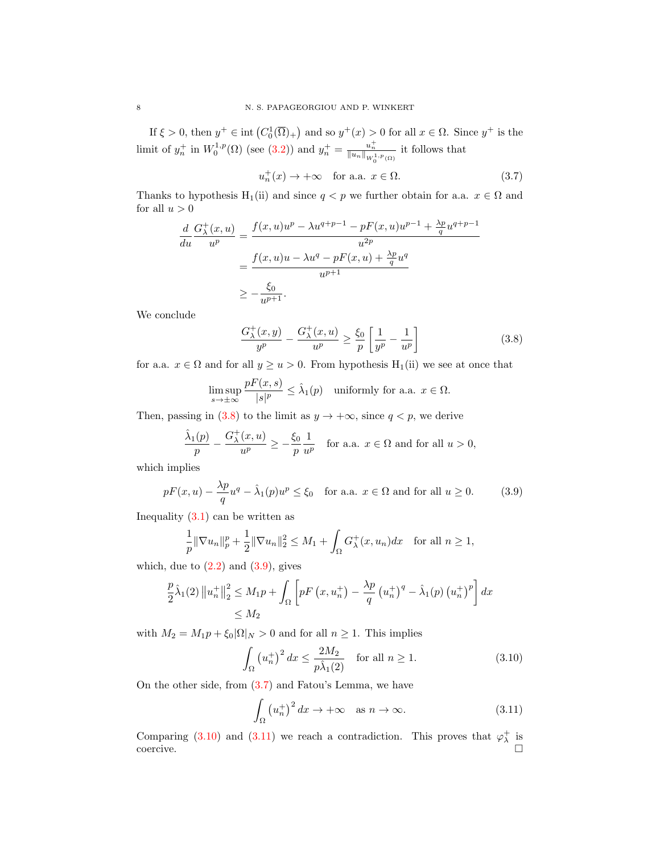If  $\xi > 0$ , then  $y^+ \in \text{int}(C_0^1(\overline{\Omega})_+)$  and so  $y^+(x) > 0$  for all  $x \in \Omega$ . Since  $y^+$  is the limit of  $y_n^+$  in  $W_0^{1,p}(\Omega)$  (see [\(3.2\)](#page-6-2)) and  $y_n^+ = \frac{u_n^+}{\|u_n\|_{W_0^{1,p}(\Omega)}}$  it follows that

<span id="page-7-2"></span>
$$
u_n^+(x) \to +\infty \quad \text{for a.a. } x \in \Omega. \tag{3.7}
$$

Thanks to hypothesis H<sub>1</sub>(ii) and since  $q < p$  we further obtain for a.a.  $x \in \Omega$  and for all  $u > 0$ 

$$
\frac{d}{du}\frac{G_{\lambda}^{+}(x,u)}{u^{p}} = \frac{f(x,u)u^{p} - \lambda u^{q+p-1} - pF(x,u)u^{p-1} + \frac{\lambda p}{q}u^{q+p-1}}{u^{2p}}
$$
\n
$$
= \frac{f(x,u)u - \lambda u^{q} - pF(x,u) + \frac{\lambda p}{q}u^{q}}{u^{p+1}}
$$
\n
$$
\geq -\frac{\xi_{0}}{u^{p+1}}.
$$

We conclude

<span id="page-7-1"></span><span id="page-7-0"></span>
$$
\frac{G_{\lambda}^{+}(x,y)}{y^{p}} - \frac{G_{\lambda}^{+}(x,u)}{u^{p}} \ge \frac{\xi_{0}}{p} \left[ \frac{1}{y^{p}} - \frac{1}{u^{p}} \right]
$$
\n(3.8)

for a.a.  $x \in \Omega$  and for all  $y \ge u > 0$ . From hypothesis H<sub>1</sub>(ii) we see at once that

$$
\limsup_{s \to \pm \infty} \frac{pF(x, s)}{|s|^p} \leq \hat{\lambda}_1(p) \quad \text{uniformly for a.a. } x \in \Omega.
$$

Then, passing in [\(3.8\)](#page-7-0) to the limit as  $y \to +\infty$ , since  $q < p$ , we derive

$$
\frac{\hat{\lambda}_1(p)}{p} - \frac{G^+_{\lambda}(x, u)}{u^p} \ge -\frac{\xi_0}{p} \frac{1}{u^p} \quad \text{for a.a. } x \in \Omega \text{ and for all } u > 0,
$$

which implies

$$
pF(x, u) - \frac{\lambda p}{q}u^q - \hat{\lambda}_1(p)u^p \le \xi_0 \quad \text{for a.a. } x \in \Omega \text{ and for all } u \ge 0. \tag{3.9}
$$

Inequality  $(3.1)$  can be written as

$$
\frac{1}{p} \|\nabla u_n\|_p^p + \frac{1}{2} \|\nabla u_n\|_2^2 \le M_1 + \int_{\Omega} G_{\lambda}^+(x, u_n) dx \text{ for all } n \ge 1,
$$

which, due to  $(2.2)$  and  $(3.9)$ , gives

$$
\frac{p}{2}\hat{\lambda}_1(2) \|u_n^+\|_2^2 \le M_1 p + \int_{\Omega} \left[ pF\left(x, u_n^+\right) - \frac{\lambda p}{q} \left(u_n^+\right)^q - \hat{\lambda}_1(p) \left(u_n^+\right)^p \right] dx
$$
  
\$\le M\_2\$

with  $M_2 = M_1p + \xi_0|\Omega|_N > 0$  and for all  $n \ge 1$ . This implies

$$
\int_{\Omega} \left(u_n^+\right)^2 dx \le \frac{2M_2}{p\hat{\lambda}_1(2)} \quad \text{for all } n \ge 1.
$$
\n(3.10)

On the other side, from [\(3.7\)](#page-7-2) and Fatou's Lemma, we have

<span id="page-7-4"></span><span id="page-7-3"></span>
$$
\int_{\Omega} \left( u_n^+ \right)^2 dx \to +\infty \quad \text{as } n \to \infty. \tag{3.11}
$$

Comparing [\(3.10\)](#page-7-3) and [\(3.11\)](#page-7-4) we reach a contradiction. This proves that  $\varphi_{\lambda}^{+}$  is coercive. □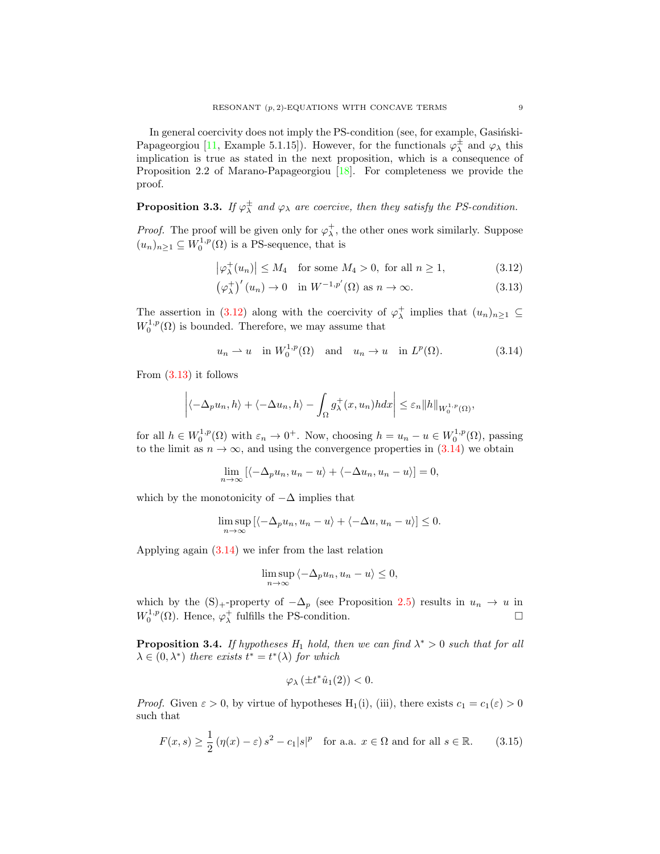In general coercivity does not imply the PS-condition (see, for example, Gasiński-Papageorgiou [\[11,](#page-16-19) Example 5.1.15]). However, for the functionals  $\varphi^{\pm}_{\lambda}$  and  $\varphi_{\lambda}$  this implication is true as stated in the next proposition, which is a consequence of Proposition 2.2 of Marano-Papageorgiou [\[18\]](#page-16-21). For completeness we provide the proof.

<span id="page-8-5"></span>**Proposition 3.3.** If  $\varphi^{\pm}_{\lambda}$  and  $\varphi_{\lambda}$  are coercive, then they satisfy the PS-condition.

*Proof.* The proof will be given only for  $\varphi_{\lambda}^{+}$ , the other ones work similarly. Suppose  $(u_n)_{n\geq 1} \subseteq W_0^{1,p}(\Omega)$  is a PS-sequence, that is

<span id="page-8-1"></span><span id="page-8-0"></span>
$$
\left|\varphi_{\lambda}^{+}(u_{n})\right| \leq M_{4} \quad \text{for some } M_{4} > 0, \text{ for all } n \geq 1,\tag{3.12}
$$

$$
\left(\varphi_{\lambda}^{+}\right)'(u_{n}) \to 0 \quad \text{in } W^{-1,p'}(\Omega) \text{ as } n \to \infty. \tag{3.13}
$$

The assertion in [\(3.12\)](#page-8-0) along with the coercivity of  $\varphi_{\lambda}^{+}$  implies that  $(u_n)_{n\geq 1} \subseteq$  $W_0^{1,p}(\Omega)$  is bounded. Therefore, we may assume that

<span id="page-8-2"></span>
$$
u_n \rightharpoonup u
$$
 in  $W_0^{1,p}(\Omega)$  and  $u_n \rightharpoonup u$  in  $L^p(\Omega)$ . (3.14)

From [\(3.13\)](#page-8-1) it follows

$$
\left| \langle -\Delta_p u_n, h \rangle + \langle -\Delta u_n, h \rangle - \int_{\Omega} g^+_{\lambda}(x, u_n) h dx \right| \leq \varepsilon_n \| h \|_{W^{1,p}_0(\Omega)},
$$

for all  $h \in W_0^{1,p}(\Omega)$  with  $\varepsilon_n \to 0^+$ . Now, choosing  $h = u_n - u \in W_0^{1,p}(\Omega)$ , passing to the limit as  $n \to \infty$ , and using the convergence properties in [\(3.14\)](#page-8-2) we obtain

$$
\lim_{n \to \infty} \left[ \langle -\Delta_p u_n, u_n - u \rangle + \langle -\Delta u_n, u_n - u \rangle \right] = 0,
$$

which by the monotonicity of  $-\Delta$  implies that

$$
\limsup_{n \to \infty} \left[ \langle -\Delta_p u_n, u_n - u \rangle + \langle -\Delta u, u_n - u \rangle \right] \le 0.
$$

Applying again [\(3.14\)](#page-8-2) we infer from the last relation

$$
\limsup_{n \to \infty} \langle -\Delta_p u_n, u_n - u \rangle \le 0,
$$

which by the  $(S)$ <sub>+</sub>-property of  $-\Delta_p$  (see Proposition [2.5\)](#page-2-1) results in  $u_n \to u$  in  $W_0^{1,p}(\Omega)$ . Hence,  $\varphi_\lambda^+$  fulfills the PS-condition.

<span id="page-8-4"></span>**Proposition 3.4.** If hypotheses  $H_1$  hold, then we can find  $\lambda^* > 0$  such that for all  $\lambda \in (0, \lambda^*)$  there exists  $t^* = t^*(\lambda)$  for which

<span id="page-8-3"></span>
$$
\varphi_{\lambda}(\pm t^*\hat{u}_1(2)) < 0.
$$

*Proof.* Given  $\varepsilon > 0$ , by virtue of hypotheses H<sub>1</sub>(i), (iii), there exists  $c_1 = c_1(\varepsilon) > 0$ such that

$$
F(x,s) \ge \frac{1}{2} \left( \eta(x) - \varepsilon \right) s^2 - c_1 |s|^p \quad \text{for a.a. } x \in \Omega \text{ and for all } s \in \mathbb{R}.\tag{3.15}
$$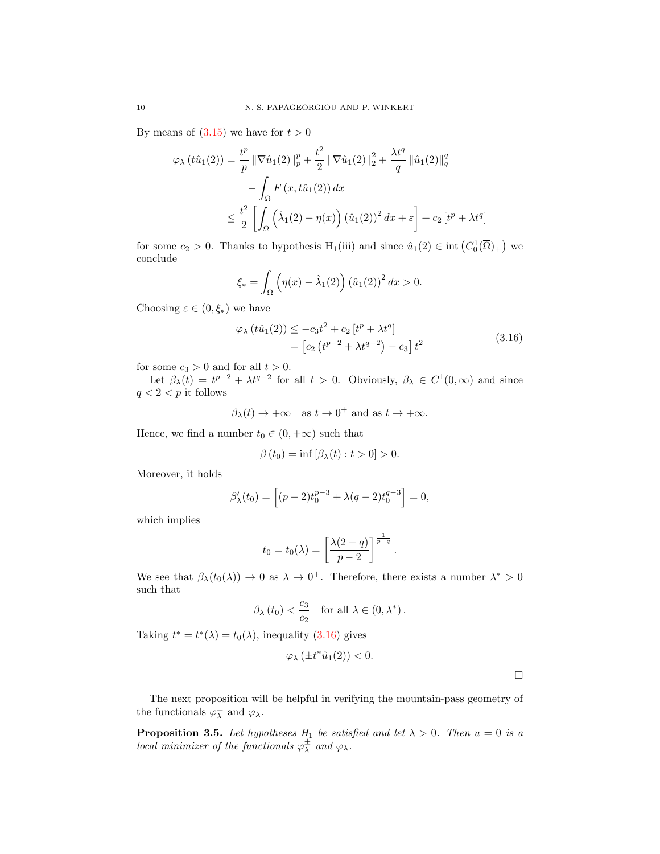By means of  $(3.15)$  we have for  $t > 0$ 

$$
\varphi_{\lambda} (t\hat{u}_{1}(2)) = \frac{t^{p}}{p} \|\nabla \hat{u}_{1}(2)\|_{p}^{p} + \frac{t^{2}}{2} \|\nabla \hat{u}_{1}(2)\|_{2}^{2} + \frac{\lambda t^{q}}{q} \|\hat{u}_{1}(2)\|_{q}^{q}
$$

$$
- \int_{\Omega} F(x, t\hat{u}_{1}(2)) dx
$$

$$
\leq \frac{t^{2}}{2} \left[ \int_{\Omega} (\hat{\lambda}_{1}(2) - \eta(x)) (\hat{u}_{1}(2))^{2} dx + \varepsilon \right] + c_{2} \left[ t^{p} + \lambda t^{q} \right]
$$

for some  $c_2 > 0$ . Thanks to hypothesis H<sub>1</sub>(iii) and since  $\hat{u}_1(2) \in \text{int}\left(C_0^1(\overline{\Omega})_+\right)$  we conclude

$$
\xi_* = \int_{\Omega} \left( \eta(x) - \hat{\lambda}_1(2) \right) (\hat{u}_1(2))^2 dx > 0.
$$

Choosing  $\varepsilon \in (0, \xi_*)$  we have

<span id="page-9-0"></span>
$$
\varphi_{\lambda} (t\hat{u}_1(2)) \le -c_3 t^2 + c_2 \left[ t^p + \lambda t^q \right] \n= \left[ c_2 \left( t^{p-2} + \lambda t^{q-2} \right) - c_3 \right] t^2
$$
\n(3.16)

for some  $c_3 > 0$  and for all  $t > 0$ .

Let  $\beta_{\lambda}(t) = t^{p-2} + \lambda t^{q-2}$  for all  $t > 0$ . Obviously,  $\beta_{\lambda} \in C^{1}(0, \infty)$  and since  $q < 2 < p$  it follows

$$
\beta_{\lambda}(t) \rightarrow +\infty
$$
 as  $t \rightarrow 0^{+}$  and as  $t \rightarrow +\infty$ .

Hence, we find a number  $t_0 \in (0, +\infty)$  such that

$$
\beta(t_0) = \inf [\beta_{\lambda}(t) : t > 0] > 0.
$$

Moreover, it holds

$$
\beta'_{\lambda}(t_0) = \left[ (p-2)t_0^{p-3} + \lambda(q-2)t_0^{q-3} \right] = 0,
$$

which implies

$$
t_0 = t_0(\lambda) = \left[\frac{\lambda(2-q)}{p-2}\right]^{\frac{1}{p-q}}.
$$

We see that  $\beta_{\lambda}(t_0(\lambda)) \to 0$  as  $\lambda \to 0^+$ . Therefore, there exists a number  $\lambda^* > 0$ such that

$$
\beta_{\lambda}(t_0) < \frac{c_3}{c_2}
$$
 for all  $\lambda \in (0, \lambda^*)$ .

Taking  $t^* = t^*(\lambda) = t_0(\lambda)$ , inequality [\(3.16\)](#page-9-0) gives

$$
\varphi_{\lambda}\left( \pm t^{\ast}\widehat{u}_{1}(2)\right) <0.
$$

 $\Box$ 

The next proposition will be helpful in verifying the mountain-pass geometry of the functionals  $\varphi_{\lambda}^{\pm}$  and  $\varphi_{\lambda}$ .

<span id="page-9-1"></span>**Proposition 3.5.** Let hypotheses  $H_1$  be satisfied and let  $\lambda > 0$ . Then  $u = 0$  is a local minimizer of the functionals  $\varphi^{\pm}_{\lambda}$  and  $\varphi_{\lambda}$ .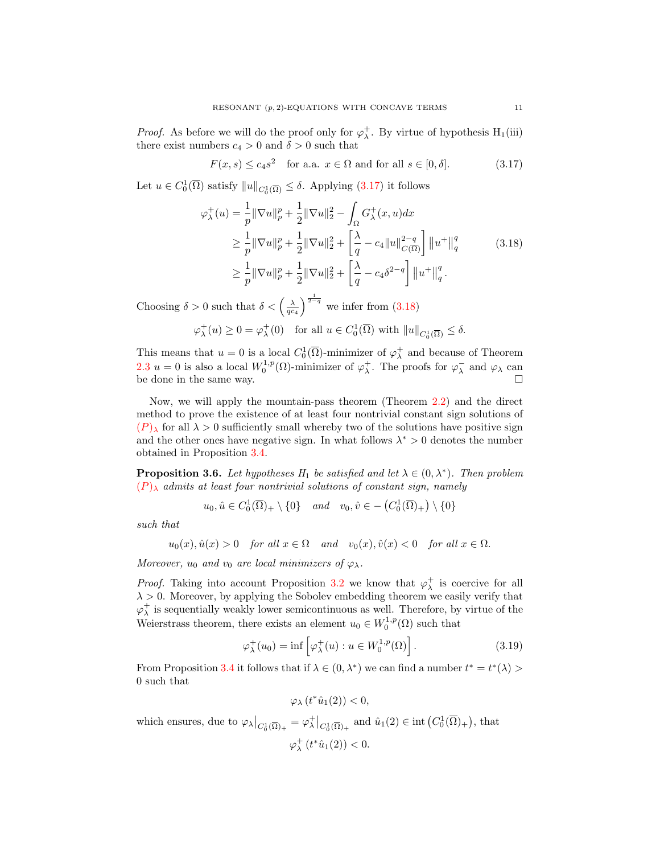*Proof.* As before we will do the proof only for  $\varphi_{\lambda}^{+}$ . By virtue of hypothesis H<sub>1</sub>(iii) there exist numbers  $c_4 > 0$  and  $\delta > 0$  such that

<span id="page-10-1"></span><span id="page-10-0"></span>
$$
F(x,s) \le c_4 s^2 \quad \text{for a.a. } x \in \Omega \text{ and for all } s \in [0,\delta].
$$
 (3.17)

Let  $u \in C_0^1(\overline{\Omega})$  satisfy  $||u||_{C_0^1(\overline{\Omega})} \leq \delta$ . Applying  $(3.17)$  it follows

$$
\varphi_{\lambda}^{+}(u) = \frac{1}{p} \|\nabla u\|_{p}^{p} + \frac{1}{2} \|\nabla u\|_{2}^{2} - \int_{\Omega} G_{\lambda}^{+}(x, u) dx
$$
  
\n
$$
\geq \frac{1}{p} \|\nabla u\|_{p}^{p} + \frac{1}{2} \|\nabla u\|_{2}^{2} + \left[\frac{\lambda}{q} - c_{4} \|u\|_{C(\overline{\Omega})}^{2-q}\right] \|u^{+}\|_{q}^{q}
$$
  
\n
$$
\geq \frac{1}{p} \|\nabla u\|_{p}^{p} + \frac{1}{2} \|\nabla u\|_{2}^{2} + \left[\frac{\lambda}{q} - c_{4} \delta^{2-q}\right] \|u^{+}\|_{q}^{q}. \tag{3.18}
$$

Choosing  $\delta > 0$  such that  $\delta < \left(\frac{\lambda}{q c_4}\right)^{\frac{1}{2-q}}$  we infer from [\(3.18\)](#page-10-1)

$$
\varphi_{\lambda}^+(u) \ge 0 = \varphi_{\lambda}^+(0) \quad \text{for all } u \in C_0^1(\overline{\Omega}) \text{ with } ||u||_{C_0^1(\overline{\Omega})} \le \delta.
$$

This means that  $u = 0$  is a local  $C_0^1(\overline{\Omega})$ -minimizer of  $\varphi_\lambda^+$  and because of Theorem [2.3](#page-2-2)  $u = 0$  is also a local  $W_0^{1,p}(\Omega)$ -minimizer of  $\varphi_\lambda^+$ . The proofs for  $\varphi_\lambda^-$  and  $\varphi_\lambda$  can be done in the same way.

Now, we will apply the mountain-pass theorem (Theorem [2.2\)](#page-1-0) and the direct method to prove the existence of at least four nontrivial constant sign solutions of  $(P)$  $(P)$  $(P)$ <sub>λ</sub> for all  $\lambda > 0$  sufficiently small whereby two of the solutions have positive sign and the other ones have negative sign. In what follows  $\lambda^* > 0$  denotes the number obtained in Proposition [3.4.](#page-8-4)

<span id="page-10-3"></span>**Proposition 3.6.** Let hypotheses  $H_1$  be satisfied and let  $\lambda \in (0, \lambda^*)$ . Then problem  $(P)$  $(P)$  $(P)$ <sub>λ</sub> admits at least four nontrivial solutions of constant sign, namely

 $u_0, \hat{u} \in C_0^1(\overline{\Omega})_+ \setminus \{0\}$  and  $v_0, \hat{v} \in -\left(C_0^1(\overline{\Omega})_+\right) \setminus \{0\}$ 

such that

 $u_0(x), \hat{u}(x) > 0$  for all  $x \in \Omega$  and  $v_0(x), \hat{v}(x) < 0$  for all  $x \in \Omega$ .

Moreover,  $u_0$  and  $v_0$  are local minimizers of  $\varphi_\lambda$ .

*Proof.* Taking into account Proposition [3.2](#page-5-0) we know that  $\varphi_{\lambda}^{+}$  is coercive for all  $\lambda > 0$ . Moreover, by applying the Sobolev embedding theorem we easily verify that  $\varphi_{\lambda}^{+}$  is sequentially weakly lower semicontinuous as well. Therefore, by virtue of the Weierstrass theorem, there exists an element  $u_0 \in W_0^{1,p}(\Omega)$  such that

$$
\varphi_{\lambda}^{+}(u_0) = \inf \left[ \varphi_{\lambda}^{+}(u) : u \in W_0^{1,p}(\Omega) \right]. \tag{3.19}
$$

From Proposition [3.4](#page-8-4) it follows that if  $\lambda \in (0, \lambda^*)$  we can find a number  $t^* = t^*(\lambda) >$ 0 such that

<span id="page-10-2"></span> $\varphi_{\lambda} (t^* \hat{u}_1(2)) < 0,$ 

which ensures, due to  $\varphi_{\lambda}\big|_{C_0^1(\overline{\Omega})_+} = \varphi_{\lambda}^+ \big|_{C_0^1(\overline{\Omega})_+}$  and  $\hat{u}_1(2) \in \text{int}(C_0^1(\overline{\Omega})_+)$ , that

$$
\varphi^+_{\lambda}\left(t^*\hat{u}_1(2)\right) < 0.
$$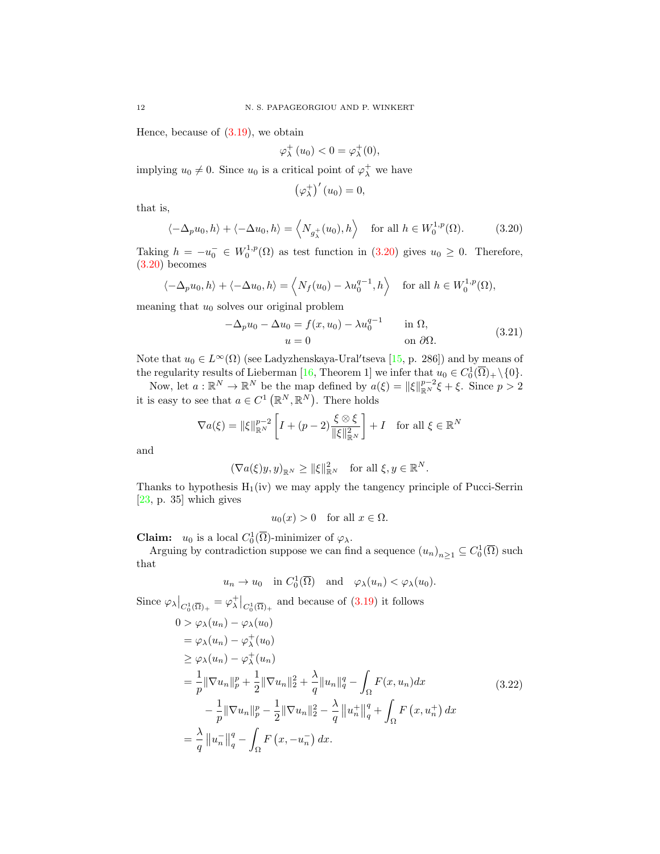Hence, because of  $(3.19)$ , we obtain

$$
\varphi_{\lambda}^{+}(u_0) < 0 = \varphi_{\lambda}^{+}(0),
$$

implying  $u_0 \neq 0$ . Since  $u_0$  is a critical point of  $\varphi_\lambda^+$  we have

<span id="page-11-0"></span>
$$
\left(\varphi_{\lambda}^{+}\right)'(u_{0})=0,
$$

that is,

$$
\langle -\Delta_p u_0, h \rangle + \langle -\Delta u_0, h \rangle = \langle N_{g_\lambda^+}(u_0), h \rangle \quad \text{for all } h \in W_0^{1,p}(\Omega). \tag{3.20}
$$

Taking  $h = -u_0^- \in W_0^{1,p}(\Omega)$  as test function in [\(3.20\)](#page-11-0) gives  $u_0 \geq 0$ . Therefore, [\(3.20\)](#page-11-0) becomes

$$
\langle -\Delta_p u_0, h \rangle + \langle -\Delta u_0, h \rangle = \langle N_f(u_0) - \lambda u_0^{q-1}, h \rangle
$$
 for all  $h \in W_0^{1,p}(\Omega)$ ,

meaning that  $u_0$  solves our original problem

$$
-\Delta_p u_0 - \Delta u_0 = f(x, u_0) - \lambda u_0^{q-1} \quad \text{in } \Omega,
$$
  
 
$$
u = 0 \quad \text{on } \partial\Omega.
$$
 (3.21)

Note that  $u_0 \in L^{\infty}(\Omega)$  (see Ladyzhenskaya-Ural'tseva [\[15,](#page-16-15) p. 286]) and by means of the regularity results of Lieberman [\[16,](#page-16-16) Theorem 1] we infer that  $u_0 \in C_0^1(\overline{\Omega})_+ \setminus \{0\}.$ 

Now, let  $a: \mathbb{R}^N \to \mathbb{R}^N$  be the map defined by  $a(\xi) = ||\xi||_{\mathbb{R}^N}^{p-2}\xi + \xi$ . Since  $p > 2$ it is easy to see that  $a \in C^1(\mathbb{R}^N, \mathbb{R}^N)$ . There holds

$$
\nabla a(\xi) = \|\xi\|_{\mathbb{R}^N}^{p-2} \left[ I + (p-2) \frac{\xi \otimes \xi}{\|\xi\|_{\mathbb{R}^N}^2} \right] + I \quad \text{for all } \xi \in \mathbb{R}^N
$$

and

$$
(\nabla a(\xi)y, y)_{\mathbb{R}^N} \ge ||\xi||_{\mathbb{R}^N}^2 \quad \text{for all } \xi, y \in \mathbb{R}^N.
$$

Thanks to hypothesis  $H_1(iv)$  we may apply the tangency principle of Pucci-Serrin  $[23, p. 35]$  $[23, p. 35]$  which gives

<span id="page-11-1"></span>
$$
u_0(x) > 0
$$
 for all  $x \in \Omega$ .

**Claim:**  $u_0$  is a local  $C_0^1(\overline{\Omega})$ -minimizer of  $\varphi_\lambda$ .

Arguing by contradiction suppose we can find a sequence  $(u_n)_{n\geq 1} \subseteq C_0^1(\overline{\Omega})$  such that

$$
u_n \to u_0
$$
 in  $C_0^1(\overline{\Omega})$  and  $\varphi_\lambda(u_n) < \varphi_\lambda(u_0)$ .

Since 
$$
\varphi_{\lambda}|_{C_0^1(\overline{\Omega})_+} = \varphi_{\lambda}^+|_{C_0^1(\overline{\Omega})_+}
$$
 and because of (3.19) it follows  
\n
$$
0 > \varphi_{\lambda}(u_n) - \varphi_{\lambda}(u_0)
$$
\n
$$
= \varphi_{\lambda}(u_n) - \varphi_{\lambda}^+(u_0)
$$
\n
$$
\geq \varphi_{\lambda}(u_n) - \varphi_{\lambda}^+(u_n)
$$
\n
$$
= \frac{1}{p} \|\nabla u_n\|_p^p + \frac{1}{2} \|\nabla u_n\|_2^2 + \frac{\lambda}{q} \|u_n\|_q^q - \int_{\Omega} F(x, u_n) dx
$$
\n
$$
- \frac{1}{p} \|\nabla u_n\|_p^p - \frac{1}{2} \|\nabla u_n\|_2^2 - \frac{\lambda}{q} \|u_n^+\|_q^q + \int_{\Omega} F(x, u_n^+) dx
$$
\n
$$
= \frac{\lambda}{q} \|u_n^-\|_q^q - \int_{\Omega} F(x, -u_n^-) dx.
$$
\n(3.22)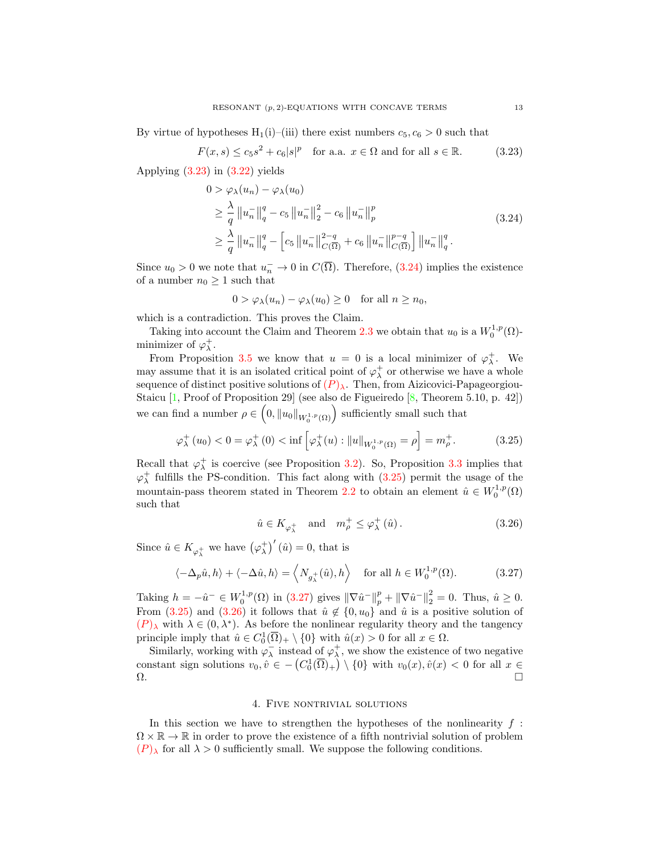By virtue of hypotheses  $H_1(i)$ –(iii) there exist numbers  $c_5, c_6 > 0$  such that

$$
F(x,s) \le c_5 s^2 + c_6 |s|^p \quad \text{for a.a. } x \in \Omega \text{ and for all } s \in \mathbb{R}.\tag{3.23}
$$

Applying  $(3.23)$  in  $(3.22)$  yields

<span id="page-12-0"></span>
$$
0 > \varphi_{\lambda}(u_{n}) - \varphi_{\lambda}(u_{0})
$$
  
\n
$$
\geq \frac{\lambda}{q} \|u_{n}^{-}\|_{q}^{q} - c_{5} \|u_{n}^{-}\|_{2}^{2} - c_{6} \|u_{n}^{-}\|_{p}^{p}
$$
  
\n
$$
\geq \frac{\lambda}{q} \|u_{n}^{-}\|_{q}^{q} - \left[c_{5} \|u_{n}^{-}\|_{C(\overline{\Omega})}^{2-q} + c_{6} \|u_{n}^{-}\|_{C(\overline{\Omega})}^{p-q}\right] \|u_{n}^{-}\|_{q}^{q}.
$$
\n(3.24)

Since  $u_0 > 0$  we note that  $u_n \to 0$  in  $C(\overline{\Omega})$ . Therefore, [\(3.24\)](#page-12-1) implies the existence of a number  $n_0 \geq 1$  such that

<span id="page-12-1"></span>
$$
0 > \varphi_{\lambda}(u_n) - \varphi_{\lambda}(u_0) \ge 0 \quad \text{for all } n \ge n_0,
$$

which is a contradiction. This proves the Claim.

Taking into account the Claim and Theorem [2.3](#page-2-2) we obtain that  $u_0$  is a  $W_0^{1,p}(\Omega)$ minimizer of  $\varphi_{\lambda}^{+}$ .

From Proposition [3.5](#page-9-1) we know that  $u = 0$  is a local minimizer of  $\varphi_{\lambda}^{+}$ . We may assume that it is an isolated critical point of  $\varphi_{\lambda}^{+}$  or otherwise we have a whole sequence of distinct positive solutions of  $(P)_{\lambda}$  $(P)_{\lambda}$  $(P)_{\lambda}$ . Then, from Aizicovici-Papageorgiou-Staicu [\[1,](#page-16-23) Proof of Proposition 29] (see also de Figueiredo [\[8,](#page-16-24) Theorem 5.10, p. 42]) we can find a number  $\rho \in (0, \|u_0\|_{W_0^{1,p}(\Omega)})$  sufficiently small such that

$$
\varphi_{\lambda}^{+}(u_{0}) < 0 = \varphi_{\lambda}^{+}(0) < \inf \left[\varphi_{\lambda}^{+}(u) : \|u\|_{W_{0}^{1,p}(\Omega)} = \rho\right] = m_{\rho}^{+}.
$$
 (3.25)

Recall that  $\varphi_{\lambda}^{+}$  is coercive (see Proposition [3.2\)](#page-5-0). So, Proposition [3.3](#page-8-5) implies that  $\varphi_{\lambda}^{+}$  fulfills the PS-condition. This fact along with [\(3.25\)](#page-12-2) permit the usage of the mountain-pass theorem stated in Theorem [2.2](#page-1-0) to obtain an element  $\hat{u} \in W_0^{1,p}(\Omega)$ such that

<span id="page-12-4"></span><span id="page-12-3"></span><span id="page-12-2"></span>
$$
\hat{u} \in K_{\varphi_{\lambda}^{+}} \quad \text{and} \quad m_{\rho}^{+} \leq \varphi_{\lambda}^{+}(\hat{u}). \tag{3.26}
$$

Since  $\hat{u} \in K_{\varphi_{\lambda}^{+}}$  we have  $(\varphi_{\lambda}^{+})'(\hat{u}) = 0$ , that is

$$
\langle -\Delta_p \hat{u}, h \rangle + \langle -\Delta \hat{u}, h \rangle = \langle N_{g_\lambda^+}(\hat{u}), h \rangle \quad \text{for all } h \in W_0^{1,p}(\Omega). \tag{3.27}
$$

Taking  $h = -\hat{u}^- \in W_0^{1,p}(\Omega)$  in [\(3.27\)](#page-12-3) gives  $\|\nabla \hat{u}^-\|_p^p + \|\nabla \hat{u}^-\|_2^2 = 0$ . Thus,  $\hat{u} \ge 0$ . From [\(3.25\)](#page-12-2) and [\(3.26\)](#page-12-4) it follows that  $\hat{u} \notin \{0, u_0\}$  and  $\hat{u}$  is a positive solution of  $(P)$  $(P)$  $(P)$ <sub>λ</sub> with  $\lambda \in (0, \lambda^*)$ . As before the nonlinear regularity theory and the tangency principle imply that  $\hat{u} \in C_0^1(\overline{\Omega})_+ \setminus \{0\}$  with  $\hat{u}(x) > 0$  for all  $x \in \Omega$ .

Similarly, working with  $\varphi_{\lambda}^{-}$  instead of  $\varphi_{\lambda}^{+}$ , we show the existence of two negative constant sign solutions  $v_0, \hat{v} \in -\left(C_0^1(\overline{\Omega})_+\right) \setminus \{0\}$  with  $v_0(x), \hat{v}(x) < 0$  for all  $x \in$ Ω. □

## 4. Five nontrivial solutions

In this section we have to strengthen the hypotheses of the nonlinearity  $f$ :  $\Omega \times \mathbb{R} \to \mathbb{R}$  in order to prove the existence of a fifth nontrivial solution of problem  $(P)$  $(P)$  $(P)$ <sub>λ</sub> for all  $\lambda > 0$  sufficiently small. We suppose the following conditions.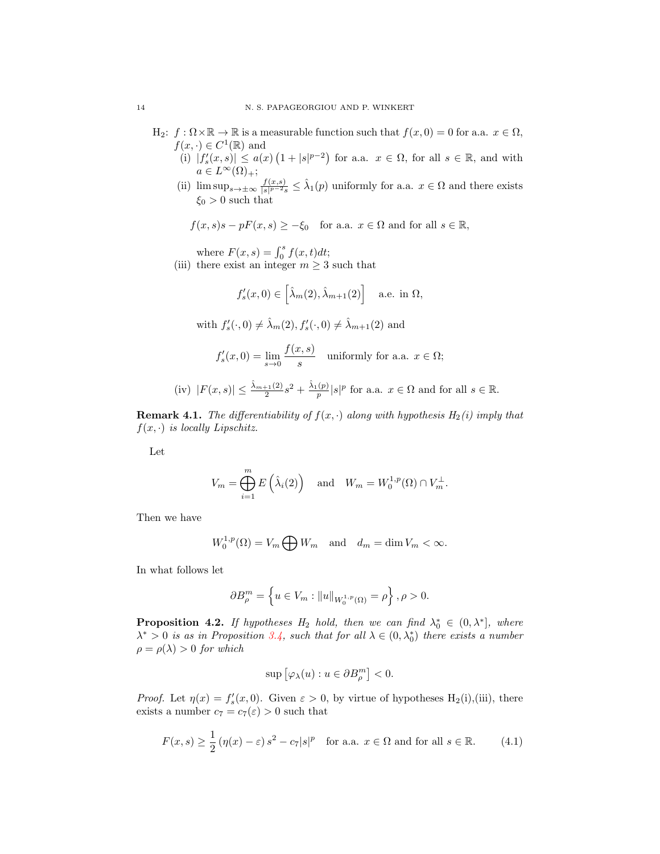- $H_2$ :  $f: \Omega \times \mathbb{R} \to \mathbb{R}$  is a measurable function such that  $f(x, 0) = 0$  for a.a.  $x \in \Omega$ ,  $f(x, \cdot) \in C^1(\mathbb{R})$  and
	- (i)  $|f'_s(x,s)| \leq a(x) (1+|s|^{p-2})$  for a.a.  $x \in \Omega$ , for all  $s \in \mathbb{R}$ , and with  $a \in L^{\infty}(\Omega)_{+};$
	- (ii)  $\limsup_{s\to\pm\infty}\frac{f(x,s)}{|s|^{p-2}s}$  $\frac{f(x,s)}{|s|^{p-2}s} \leq \hat{\lambda}_1(p)$  uniformly for a.a.  $x \in \Omega$  and there exists  $\xi_0 > 0$  such that
		- $f(x, s)s pF(x, s) \geq -\xi_0$  for a.a.  $x \in \Omega$  and for all  $s \in \mathbb{R}$ ,

where  $F(x, s) = \int_0^s f(x, t) dt$ ;

(iii) there exist an integer  $m \geq 3$  such that

$$
f'_{s}(x,0) \in \left[\hat{\lambda}_{m}(2), \hat{\lambda}_{m+1}(2)\right]
$$
 a.e. in  $\Omega$ ,

with  $f'_s(\cdot, 0) \neq \hat{\lambda}_m(2), f'_s(\cdot, 0) \neq \hat{\lambda}_{m+1}(2)$  and

$$
f'_s(x,0) = \lim_{s \to 0} \frac{f(x,s)}{s}
$$
 uniformly for a.a.  $x \in \Omega$ ;

(iv) 
$$
|F(x, s)| \leq \frac{\hat{\lambda}_{m+1}(2)}{2}s^2 + \frac{\hat{\lambda}_{1}(p)}{p}|s|^p
$$
 for a.a.  $x \in \Omega$  and for all  $s \in \mathbb{R}$ .

**Remark 4.1.** The differentiability of  $f(x, \cdot)$  along with hypothesis  $H_2(i)$  imply that  $f(x, \cdot)$  is locally Lipschitz.

Let

$$
V_m = \bigoplus_{i=1}^m E\left(\hat{\lambda}_i(2)\right) \quad \text{and} \quad W_m = W_0^{1,p}(\Omega) \cap V_m^{\perp}.
$$

Then we have

$$
W_0^{1,p}(\Omega) = V_m \bigoplus W_m \quad \text{and} \quad d_m = \dim V_m < \infty.
$$

In what follows let

$$
\partial B_{\rho}^{m} = \left\{ u \in V_m : ||u||_{W_0^{1,p}(\Omega)} = \rho \right\}, \rho > 0.
$$

<span id="page-13-1"></span>**Proposition 4.2.** If hypotheses  $H_2$  hold, then we can find  $\lambda_0^* \in (0, \lambda^*]$ , where  $\lambda^* > 0$  is as in Proposition [3.4,](#page-8-4) such that for all  $\lambda \in (0, \lambda_0^*)$  there exists a number  $\rho = \rho(\lambda) > 0$  for which

<span id="page-13-0"></span>
$$
\sup\left[\varphi_{\lambda}(u):u\in\partial B_{\rho}^{m}\right]<0.
$$

*Proof.* Let  $\eta(x) = f'_s(x, 0)$ . Given  $\varepsilon > 0$ , by virtue of hypotheses H<sub>2</sub>(i),(iii), there exists a number  $c_7 = c_7(\varepsilon) > 0$  such that

$$
F(x,s) \ge \frac{1}{2} \left( \eta(x) - \varepsilon \right) s^2 - c_7 |s|^p \quad \text{for a.a. } x \in \Omega \text{ and for all } s \in \mathbb{R}.
$$
 (4.1)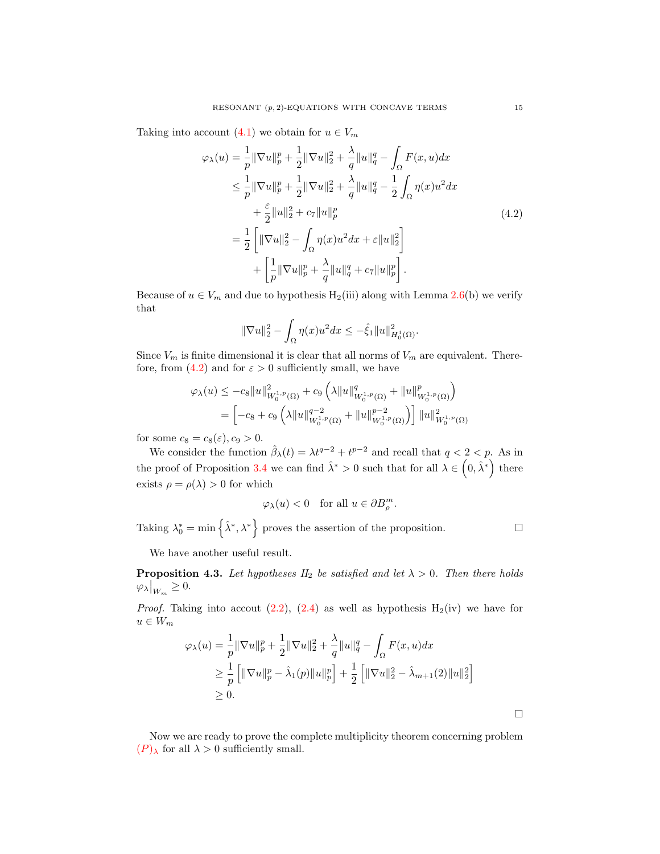Taking into account [\(4.1\)](#page-13-0) we obtain for  $u \in V_m$ 

$$
\varphi_{\lambda}(u) = \frac{1}{p} \|\nabla u\|_{p}^{p} + \frac{1}{2} \|\nabla u\|_{2}^{2} + \frac{\lambda}{q} \|u\|_{q}^{q} - \int_{\Omega} F(x, u) dx
$$
  
\n
$$
\leq \frac{1}{p} \|\nabla u\|_{p}^{p} + \frac{1}{2} \|\nabla u\|_{2}^{2} + \frac{\lambda}{q} \|u\|_{q}^{q} - \frac{1}{2} \int_{\Omega} \eta(x) u^{2} dx
$$
  
\n
$$
+ \frac{\varepsilon}{2} \|u\|_{2}^{2} + c_{7} \|u\|_{p}^{p}
$$
  
\n
$$
= \frac{1}{2} \left[ \|\nabla u\|_{2}^{2} - \int_{\Omega} \eta(x) u^{2} dx + \varepsilon \|u\|_{2}^{2} \right]
$$
  
\n
$$
+ \left[ \frac{1}{p} \|\nabla u\|_{p}^{p} + \frac{\lambda}{q} \|u\|_{q}^{q} + c_{7} \|u\|_{p}^{p} \right].
$$
\n(4.2)

Because of  $u \in V_m$  and due to hypothesis  $H_2(iii)$  along with Lemma [2.6\(](#page-3-3)b) we verify that

<span id="page-14-0"></span>
$$
\|\nabla u\|_2^2 - \int_{\Omega} \eta(x)u^2 dx \leq -\hat{\xi}_1 \|u\|_{H_0^1(\Omega)}^2.
$$

Since  $V_m$  is finite dimensional it is clear that all norms of  $V_m$  are equivalent. There-fore, from [\(4.2\)](#page-14-0) and for  $\varepsilon > 0$  sufficiently small, we have

$$
\varphi_{\lambda}(u) \leq -c_{8} \|u\|_{W_{0}^{1,p}(\Omega)}^{2} + c_{9} \left(\lambda \|u\|_{W_{0}^{1,p}(\Omega)}^{q} + \|u\|_{W_{0}^{1,p}(\Omega)}^{p}\right)
$$
  
= 
$$
\left[ -c_{8} + c_{9} \left(\lambda \|u\|_{W_{0}^{1,p}(\Omega)}^{q-2} + \|u\|_{W_{0}^{1,p}(\Omega)}^{p-2}\right) \right] \|u\|_{W_{0}^{1,p}(\Omega)}^{2}
$$

for some  $c_8 = c_8(\varepsilon)$ ,  $c_9 > 0$ .

We consider the function  $\hat{\beta}_{\lambda}(t) = \lambda t^{q-2} + t^{p-2}$  and recall that  $q < 2 < p$ . As in the proof of Proposition [3.4](#page-8-4) we can find  $\hat{\lambda}^* > 0$  such that for all  $\lambda \in (0, \hat{\lambda}^*)$  there exists  $\rho = \rho(\lambda) > 0$  for which

$$
\varphi_{\lambda}(u) < 0
$$
 for all  $u \in \partial B_{\rho}^{m}$ .

Taking  $\lambda_0^* = \min \{ \hat{\lambda}^*, \lambda^* \}$  proves the assertion of the proposition.

 $\Box$ 

We have another useful result.

<span id="page-14-1"></span>**Proposition 4.3.** Let hypotheses  $H_2$  be satisfied and let  $\lambda > 0$ . Then there holds  $\varphi_{\lambda}\big|_{W_m}\geq 0.$ 

*Proof.* Taking into accout  $(2.2)$ ,  $(2.4)$  as well as hypothesis  $H_2(iv)$  we have for  $u \in W_m$ 

$$
\varphi_{\lambda}(u) = \frac{1}{p} \|\nabla u\|_{p}^{p} + \frac{1}{2} \|\nabla u\|_{2}^{2} + \frac{\lambda}{q} \|u\|_{q}^{q} - \int_{\Omega} F(x, u) dx
$$
  
\n
$$
\geq \frac{1}{p} \left[ \|\nabla u\|_{p}^{p} - \hat{\lambda}_{1}(p) \|u\|_{p}^{p} \right] + \frac{1}{2} \left[ \|\nabla u\|_{2}^{2} - \hat{\lambda}_{m+1}(2) \|u\|_{2}^{2} \right]
$$
  
\n
$$
\geq 0.
$$

Now we are ready to prove the complete multiplicity theorem concerning problem  $(P)$  $(P)$  $(P)$ <sub>λ</sub> for all  $\lambda > 0$  sufficiently small.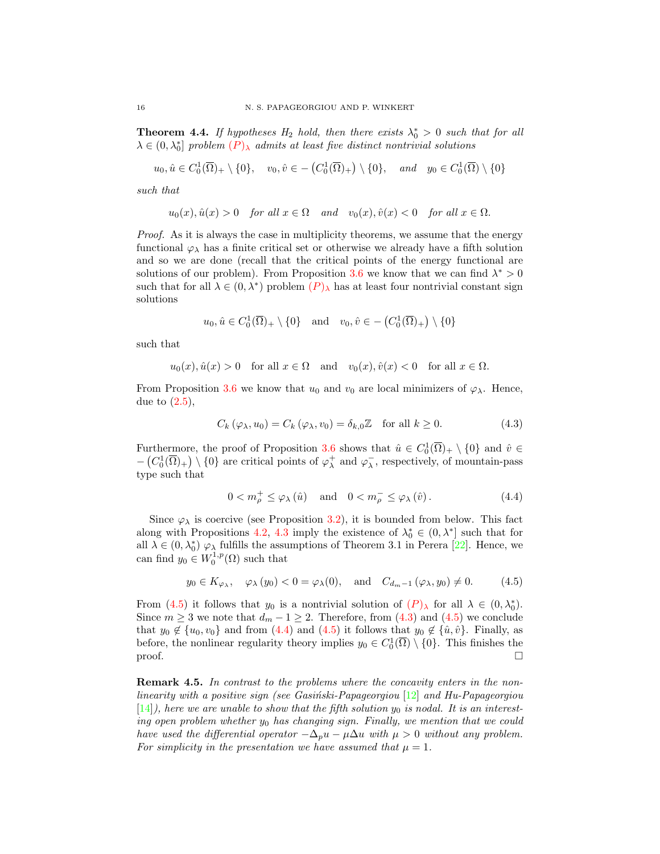**Theorem 4.4.** If hypotheses  $H_2$  hold, then there exists  $\lambda_0^* > 0$  such that for all  $\lambda \in (0, \lambda_0^*]$  problem  $(P)_{\lambda}$  $(P)_{\lambda}$  $(P)_{\lambda}$  admits at least five distinct nontrivial solutions

$$
u_0, \hat{u} \in C_0^1(\overline{\Omega})_+ \setminus \{0\}, \quad v_0, \hat{v} \in -\left(C_0^1(\overline{\Omega})_+\right) \setminus \{0\}, \quad \text{and} \quad y_0 \in C_0^1(\overline{\Omega}) \setminus \{0\}
$$

such that

$$
u_0(x), \hat{u}(x) > 0
$$
 for all  $x \in \Omega$  and  $v_0(x), \hat{v}(x) < 0$  for all  $x \in \Omega$ .

Proof. As it is always the case in multiplicity theorems, we assume that the energy functional  $\varphi_{\lambda}$  has a finite critical set or otherwise we already have a fifth solution and so we are done (recall that the critical points of the energy functional are solutions of our problem). From Proposition [3.6](#page-10-3) we know that we can find  $\lambda^* > 0$ such that for all  $\lambda \in (0, \lambda^*)$  problem  $(P)_{\lambda}$  $(P)_{\lambda}$  $(P)_{\lambda}$  has at least four nontrivial constant sign solutions

$$
u_0, \hat{u} \in C_0^1(\overline{\Omega})_+ \setminus \{0\}
$$
 and  $v_0, \hat{v} \in -\left(C_0^1(\overline{\Omega})_+\right) \setminus \{0\}$ 

such that

$$
u_0(x), \hat{u}(x) > 0
$$
 for all  $x \in \Omega$  and  $v_0(x), \hat{v}(x) < 0$  for all  $x \in \Omega$ .

From Proposition [3.6](#page-10-3) we know that  $u_0$  and  $v_0$  are local minimizers of  $\varphi_\lambda$ . Hence, due to  $(2.5)$ ,

$$
C_k(\varphi_\lambda, u_0) = C_k(\varphi_\lambda, v_0) = \delta_{k,0} \mathbb{Z} \quad \text{for all } k \ge 0.
$$
 (4.3)

Furthermore, the proof of Proposition [3.6](#page-10-3) shows that  $\hat{u} \in C_0^1(\overline{\Omega})_+ \setminus \{0\}$  and  $\hat{v} \in$  $-(C_0^1(\overline{\Omega})_+) \setminus \{0\}$  are critical points of  $\varphi_\lambda^+$  and  $\varphi_\lambda^-$ , respectively, of mountain-pass type such that

<span id="page-15-2"></span><span id="page-15-1"></span><span id="page-15-0"></span>
$$
0 < m_{\rho}^{+} \leq \varphi_{\lambda}(\hat{u}) \quad \text{and} \quad 0 < m_{\rho}^{-} \leq \varphi_{\lambda}(\hat{v}). \tag{4.4}
$$

Since  $\varphi_{\lambda}$  is coercive (see Proposition [3.2\)](#page-5-0), it is bounded from below. This fact along with Propositions [4.2,](#page-13-1) [4.3](#page-14-1) imply the existence of  $\lambda_0^* \in (0, \lambda^*]$  such that for all  $\lambda \in (0, \lambda_0^*) \varphi_{\lambda}$  fulfills the assumptions of Theorem 3.1 in Perera [\[22\]](#page-16-11). Hence, we can find  $y_0 \in W_0^{1,p}(\Omega)$  such that

$$
y_0 \in K_{\varphi_\lambda}, \quad \varphi_\lambda(y_0) < 0 = \varphi_\lambda(0), \quad \text{and} \quad C_{d_m-1}(\varphi_\lambda, y_0) \neq 0.
$$
 (4.5)

From [\(4.5\)](#page-15-0) it follows that  $y_0$  is a nontrivial solution of  $(P)_{\lambda}$  $(P)_{\lambda}$  $(P)_{\lambda}$  for all  $\lambda \in (0, \lambda_0^*)$ . Since  $m \geq 3$  we note that  $d_m - 1 \geq 2$ . Therefore, from [\(4.3\)](#page-15-1) and [\(4.5\)](#page-15-0) we conclude that  $y_0 \notin \{u_0, v_0\}$  and from [\(4.4\)](#page-15-2) and [\(4.5\)](#page-15-0) it follows that  $y_0 \notin \{\hat{u}, \hat{v}\}\$ . Finally, as before, the nonlinear regularity theory implies  $y_0 \in C_0^1(\overline{\Omega}) \setminus \{0\}$ . This finishes the  $\Box$ 

**Remark 4.5.** In contrast to the problems where the concavity enters in the nonlinearity with a positive sign (see Gasiński-Papageorgiou  $[12]$  and Hu-Papageorgiou [\[14\]](#page-16-7)), here we are unable to show that the fifth solution  $y_0$  is nodal. It is an interesting open problem whether  $y_0$  has changing sign. Finally, we mention that we could have used the differential operator  $-\Delta_p u - \mu \Delta u$  with  $\mu > 0$  without any problem. For simplicity in the presentation we have assumed that  $\mu = 1$ .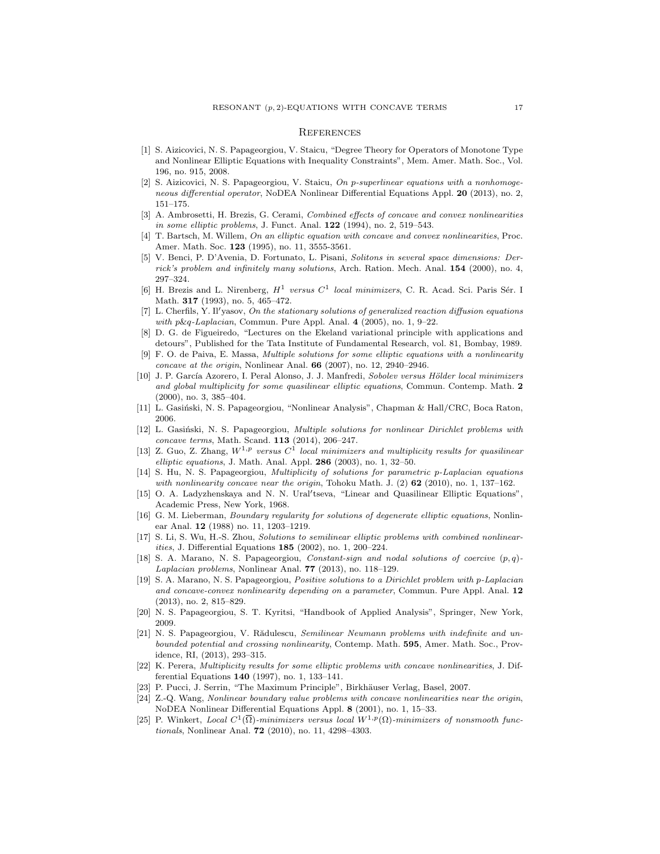#### **REFERENCES**

- <span id="page-16-23"></span>[1] S. Aizicovici, N. S. Papageorgiou, V. Staicu, "Degree Theory for Operators of Monotone Type and Nonlinear Elliptic Equations with Inequality Constraints", Mem. Amer. Math. Soc., Vol. 196, no. 915, 2008.
- <span id="page-16-14"></span>[2] S. Aizicovici, N. S. Papageorgiou, V. Staicu, On p-superlinear equations with a nonhomogeneous differential operator, NoDEA Nonlinear Differential Equations Appl. 20 (2013), no. 2, 151–175.
- <span id="page-16-0"></span>[3] A. Ambrosetti, H. Brezis, G. Cerami, Combined effects of concave and convex nonlinearities in some elliptic problems, J. Funct. Anal. 122 (1994), no. 2, 519–543.
- <span id="page-16-1"></span>[4] T. Bartsch, M. Willem, On an elliptic equation with concave and convex nonlinearities, Proc. Amer. Math. Soc. 123 (1995), no. 11, 3555-3561.
- <span id="page-16-12"></span>[5] V. Benci, P. D'Avenia, D. Fortunato, L. Pisani, Solitons in several space dimensions: Derrick's problem and infinitely many solutions, Arch. Ration. Mech. Anal. 154 (2000), no. 4, 297–324.
- <span id="page-16-17"></span>[6] H. Brezis and L. Nirenberg,  $H^1$  versus  $C^1$  local minimizers, C. R. Acad. Sci. Paris Sér. I Math. **317** (1993), no. 5, 465-472.
- <span id="page-16-13"></span>[7] L. Cherfils, Y. Il'yasov, On the stationary solutions of generalized reaction diffusion equations with  $p\&q$ -Laplacian, Commun. Pure Appl. Anal. 4 (2005), no. 1, 9–22.
- <span id="page-16-24"></span>[8] D. G. de Figueiredo, "Lectures on the Ekeland variational principle with applications and detours", Published for the Tata Institute of Fundamental Research, vol. 81, Bombay, 1989.
- <span id="page-16-9"></span>[9] F. O. de Paiva, E. Massa, Multiple solutions for some elliptic equations with a nonlinearity concave at the origin, Nonlinear Anal.  $66$  (2007), no. 12, 2940–2946.
- <span id="page-16-4"></span>[10] J. P. García Azorero, I. Peral Alonso, J. J. Manfredi, Sobolev versus Hölder local minimizers and global multiplicity for some quasilinear elliptic equations, Commun. Contemp. Math. 2 (2000), no. 3, 385–404.
- <span id="page-16-19"></span>[11] L. Gasiński, N. S. Papageorgiou, "Nonlinear Analysis", Chapman & Hall/CRC, Boca Raton, 2006.
- <span id="page-16-5"></span>[12] L. Gasiński, N. S. Papageorgiou, *Multiple solutions for nonlinear Dirichlet problems with* concave terms, Math. Scand. 113 (2014), 206–247.
- <span id="page-16-6"></span>[13] Z. Guo, Z. Zhang,  $W^{1,p}$  versus  $C^1$  local minimizers and multiplicity results for quasilinear elliptic equations, J. Math. Anal. Appl.  $286$  (2003), no. 1, 32-50.
- <span id="page-16-7"></span>[14] S. Hu, N. S. Papageorgiou, Multiplicity of solutions for parametric p-Laplacian equations with nonlinearity concave near the origin, Tohoku Math. J.  $(2)$  62 (2010), no. 1, 137–162.
- <span id="page-16-15"></span>[15] O. A. Ladyzhenskaya and N. N. Ural'tseva, "Linear and Quasilinear Elliptic Equations", Academic Press, New York, 1968.
- <span id="page-16-16"></span>[16] G. M. Lieberman, Boundary regularity for solutions of degenerate elliptic equations, Nonlinear Anal. 12 (1988) no. 11, 1203–1219.
- <span id="page-16-2"></span>[17] S. Li, S. Wu, H.-S. Zhou, Solutions to semilinear elliptic problems with combined nonlinearities, J. Differential Equations 185 (2002), no. 1, 200–224.
- <span id="page-16-21"></span>[18] S. A. Marano, N. S. Papageorgiou, Constant-sign and nodal solutions of coercive  $(p, q)$ -Laplacian problems, Nonlinear Anal.  $77$  (2013), no. 118-129.
- <span id="page-16-8"></span>[19] S. A. Marano, N. S. Papageorgiou, Positive solutions to a Dirichlet problem with p-Laplacian and concave-convex nonlinearity depending on a parameter, Commun. Pure Appl. Anal. 12 (2013), no. 2, 815–829.
- <span id="page-16-20"></span>[20] N. S. Papageorgiou, S. T. Kyritsi, "Handbook of Applied Analysis", Springer, New York, 2009.
- <span id="page-16-10"></span>[21] N. S. Papageorgiou, V. Rădulescu, Semilinear Neumann problems with indefinite and unbounded potential and crossing nonlinearity, Contemp. Math. 595, Amer. Math. Soc., Providence, RI, (2013), 293–315.
- <span id="page-16-11"></span>K. Perera, Multiplicity results for some elliptic problems with concave nonlinearities, J. Differential Equations 140 (1997), no. 1, 133–141.
- <span id="page-16-22"></span>[23] P. Pucci, J. Serrin, "The Maximum Principle", Birkhäuser Verlag, Basel, 2007.
- <span id="page-16-3"></span>[24] Z.-Q. Wang, Nonlinear boundary value problems with concave nonlinearities near the origin, NoDEA Nonlinear Differential Equations Appl. 8 (2001), no. 1, 15–33.
- <span id="page-16-18"></span>[25] P. Winkert, Local  $C^1(\overline{\Omega})$ -minimizers versus local  $W^{1,p}(\Omega)$ -minimizers of nonsmooth functionals, Nonlinear Anal. 72 (2010), no. 11, 4298–4303.